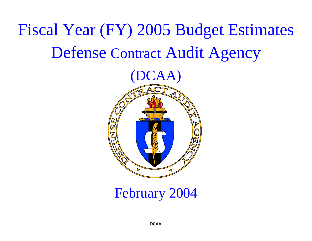# Fiscal Year (FY) 2005 Budget Estimates Defense Contract Audit Agency



February 2004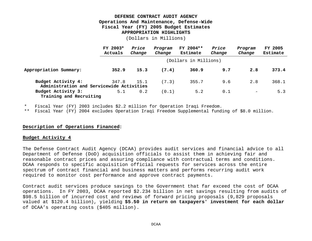#### **DEFENSE CONTRACT AUDIT AGENCY Operations And Maintenance, Defense-Wide Fiscal Year (FY) 2005 Budget Estimates APPROPRIATION HIGHLIGHTS**

(Dollars in Millions)

|                                                                 | FY 2003*<br>Actuals | Price<br>Change | Program<br>Change | FY 2004**<br>Estimate | Price<br>Change | Program<br>Change        | <b>FY 2005</b><br>Estimate |
|-----------------------------------------------------------------|---------------------|-----------------|-------------------|-----------------------|-----------------|--------------------------|----------------------------|
|                                                                 |                     |                 |                   | (Dollars in Millions) |                 |                          |                            |
| Appropriation Summary:                                          | 352.9               | 15.3            | (7.4)             | 360.9                 | 9.7             | 2.8                      | 373.4                      |
| Budget Activity 4:<br>Administration and Servicewide Activities | 347.8               | 15.1            | (7.3)             | 355.7                 | 9.6             | 2.8                      | 368.1                      |
| Budget Activity 3:<br>Training and Recruiting                   | 5.1                 | 0.2             | (0.1)             | 5.2                   | 0.1             | $\overline{\phantom{m}}$ | 5.3                        |

\* Fiscal Year (FY) 2003 includes \$2.2 million for Operation Iraqi Freedom.

\*\* Fiscal Year (FY) 2004 excludes Operation Iraqi Freedom Supplemental funding of \$8.0 million.

#### **Description of Operations Financed:**

#### **Budget Activity 4**

The Defense Contract Audit Agency (DCAA) provides audit services and financial advice to all Department of Defense (DoD) acquisition officials to assist them in achieving fair and reasonable contract prices and assuring compliance with contractual terms and conditions. DCAA responds to specific acquisition official requests for services across the entire spectrum of contract financial and business matters and performs recurring audit work required to monitor cost performance and approve contract payments.

Contract audit services produce savings to the Government that far exceed the cost of DCAA operations. In FY 2003, DCAA reported \$2.234 billion in net savings resulting from audits of \$98.5 billion of incurred cost and reviews of forward pricing proposals (9,829 proposals valued at \$120.4 billion), yielding **\$5.50 in return on taxpayers' investment for each dollar** of DCAA's operating costs (\$405 million).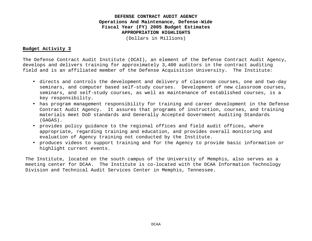#### **DEFENSE CONTRACT AUDIT AGENCY Operations And Maintenance, Defense-Wide Fiscal Year (FY) 2005 Budget Estimates APPROPRIATION HIGHLIGHTS**

(Dollars in Millions)

#### **Budget Activity 3**

The Defense Contract Audit Institute (DCAI), an element of the Defense Contract Audit Agency, develops and delivers training for approximately 3,400 auditors in the contract auditing field and is an affiliated member of the Defense Acquisition University. The Institute:

- directs and controls the development and delivery of classroom courses, one and two-day seminars, and computer based self-study courses. Development of new classroom courses, seminars, and self-study courses, as well as maintenance of established courses, is a key responsibility.
- has program management responsibility for training and career development in the Defense Contract Audit Agency. It assures that programs of instruction, courses, and training materials meet DoD standards and Generally Accepted Government Auditing Standards (GAGAS).
- provides policy guidance to the regional offices and field audit offices, where appropriate, regarding training and education, and provides overall monitoring and evaluation of Agency training not conducted by the Institute.
- produces videos to support training and for the Agency to provide basic information or highlight current events.

The Institute, located on the south campus of the University of Memphis, also serves as a meeting center for DCAA. The Institute is co-located with the DCAA Information Technology Division and Technical Audit Services Center in Memphis, Tennessee.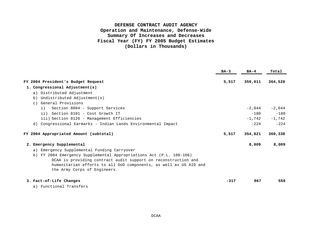## **DEFENSE CONTRACT AUDIT AGENCY Operation and Maintenance, Defense-Wide Summary Of Increases and Decreases Fiscal Year (FY) FY 2005 Budget Estimates (Dollars in Thousands)**

|                                                                                                                                                                                                                                                                                                                        | $BA-3$ | $BA-4$                                   | Total                                    |
|------------------------------------------------------------------------------------------------------------------------------------------------------------------------------------------------------------------------------------------------------------------------------------------------------------------------|--------|------------------------------------------|------------------------------------------|
| FY 2004 President's Budget Request<br>1. Congressional Adjustment(s)                                                                                                                                                                                                                                                   | 5,517  | 359,011                                  | 364,528                                  |
| a) Distributed Adjustment<br>Undistributed Adjustment(s)<br>b)<br>General Provisions<br>$\cap$ )                                                                                                                                                                                                                       |        |                                          |                                          |
| Section 8094 - Support Services<br>i)<br>ii) Section 8101 - Cost Growth IT<br>iii) Section 8126 - Management Efficiencies<br>d) Congressional Earmarks - Indian Lands Environmental Impact                                                                                                                             |        | $-2.044$<br>$-180$<br>$-1,742$<br>$-224$ | $-2,044$<br>$-180$<br>$-1,742$<br>$-224$ |
| FY 2004 Appropriated Amount (subtotal)                                                                                                                                                                                                                                                                                 | 5,517  | 354,821                                  | 360,338                                  |
| 2. Emergency Supplemental<br>a) Emergency Supplemental Funding Carryover<br>b) FY 2004 Emergency Supplemental Appropriations Act (P.L. 108-106)<br>DCAA is providing contract audit support on reconstruction and<br>humanitarian efforts to all DoD components, as well as US AID and<br>the Army Corps of Engineers. |        | 8,009                                    | 8,009                                    |
| 3. Fact-of-Life Changes                                                                                                                                                                                                                                                                                                | $-317$ | 867                                      | 550                                      |

a) Functional Transfers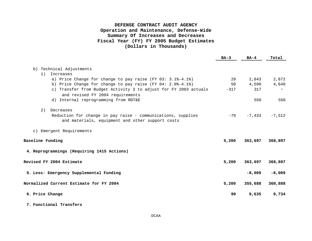## **DEFENSE CONTRACT AUDIT AGENCY Operation and Maintenance, Defense-Wide Summary Of Increases and Decreases Fiscal Year (FY) FY 2005 Budget Estimates (Dollars in Thousands)**

|                                                                                                                  | $BA-3$ | $BA-4$   | Total    |
|------------------------------------------------------------------------------------------------------------------|--------|----------|----------|
| b) Technical Adjustments                                                                                         |        |          |          |
| Increases<br>1)                                                                                                  |        |          |          |
| a) Price Change for change to pay raise (FY 03: $3.1\text{--}4.1\text{--}8$ )                                    | 29     | 2,843    | 2,872    |
| b) Price Change for change to pay raise (FY 04: $2.0$ 8-4.1%)                                                    | 50     | 4,590    | 4,640    |
| c) Transfer from Budget Activity 3 to adjust for FY 2003 actuals                                                 | $-317$ | 317      |          |
| and revised FY 2004 requirements                                                                                 |        |          |          |
| d) Internal reprogramming from RDT&E                                                                             |        | 550      | 550      |
|                                                                                                                  |        |          |          |
| 2) Decreases                                                                                                     |        |          |          |
| Reduction for change in pay raise - communications, supplies<br>and materials, equipment and other support costs | $-79$  | $-7,433$ | $-7.512$ |
| c) Emergent Requirements                                                                                         |        |          |          |
| <b>Baseline Funding</b>                                                                                          | 5,200  | 363,697  | 368,897  |
| 4. Reprogrammings (Requiring 1415 Actions)                                                                       |        |          |          |
| Revised FY 2004 Estimate                                                                                         | 5,200  | 363,697  | 368,897  |
| 5. Less: Emergency Supplemental Funding                                                                          |        | $-8,009$ | $-8,009$ |
| Normalized Current Estimate for FY 2004                                                                          | 5,200  | 355,688  | 360,888  |
| 6. Price Change                                                                                                  | 99     | 9,635    | 9,734    |
|                                                                                                                  |        |          |          |

#### **7. Functional Transfers**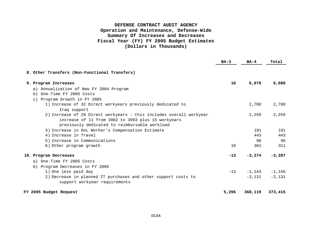## **DEFENSE CONTRACT AUDIT AGENCY Operation and Maintenance, Defense-Wide Summary Of Increases and Decreases Fiscal Year (FY) FY 2005 Budget Estimates (Dollars in Thousands)**

|                                                                                     | $BA-3$ | $BA-4$    | Total    |
|-------------------------------------------------------------------------------------|--------|-----------|----------|
| 8. Other Transfers (Non-Functional Transfers)                                       |        |           |          |
| 9. Program Increases                                                                | 10     | 6,070     | 6,080    |
| a) Annualization of New FY 2004 Program                                             |        |           |          |
| b) One-Time FY 2005 Costs                                                           |        |           |          |
| c) Program Growth in FY 2005                                                        |        |           |          |
| 1) Increase of 32 Direct workyears previously dedicated to                          |        | 2,780     | 2,780    |
| Iraq support<br>2) Increase of 26 Direct workyears - this includes overall workyear |        | 2,259     | 2,259    |
| increase of 11 from 3982 to 3993 plus 15 workyears                                  |        |           |          |
| previously dedicated to reimbursable workload                                       |        |           |          |
| 3) Increase in DoL Worker's Compensation Estimate                                   |        | 191       | 191      |
| 4) Increase in Travel                                                               |        | 443       | 443      |
| 5) Increase in Communications                                                       |        | 96        | 96       |
| 6) Other program growth                                                             | 10     | 301       | 311      |
| 10. Program Decreases                                                               | $-13$  | $-3,274$  | $-3,287$ |
| a) One-Time FY 2005 Costs                                                           |        |           |          |
| b) Program Decreases in FY 2005                                                     |        |           |          |
| 1) One less paid day                                                                | $-13$  | $-1, 143$ | $-1,156$ |
| 2) Decrease in planned IT purchases and other support costs to                      |        | $-2.131$  | $-2,131$ |
| support workyear requirements                                                       |        |           |          |
| FY 2005 Budget Request                                                              | 5,296  | 368,119   | 373,415  |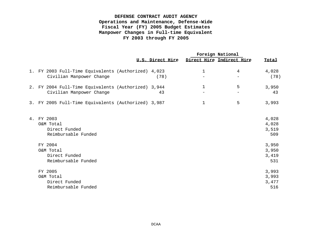## **DEFENSE CONTRACT AUDIT AGENCY Operations and Maintenance, Defense-Wide Fiscal Year (FY) 2005 Budget Estimates Manpower Changes in Full-time Equivalent FY 2003 through FY 2005**

|    |                                                     |                  |   | Foreign National          |              |
|----|-----------------------------------------------------|------------------|---|---------------------------|--------------|
|    |                                                     | U.S. Direct Hire |   | Direct Hire Indirect Hire | Total        |
|    | 1. FY 2003 Full-Time Equivalents (Authorized) 4,023 |                  | 1 | 4                         | 4,028        |
|    | Civilian Manpower Change                            | (78)             |   |                           | (78)         |
|    | 2. FY 2004 Full-Time Equivalents (Authorized) 3,944 |                  | 1 | 5                         | 3,950        |
|    | Civilian Manpower Change                            | 43               |   |                           | 43           |
|    | 3. FY 2005 Full-Time Equivalents (Authorized) 3,987 |                  | 1 | 5                         | 3,993        |
| 4. | FY 2003                                             |                  |   |                           | 4,028        |
|    | O&M Total                                           |                  |   |                           | 4,028        |
|    | Direct Funded<br>Reimbursable Funded                |                  |   |                           | 3,519<br>509 |
|    |                                                     |                  |   |                           |              |
|    | FY 2004                                             |                  |   |                           | 3,950        |
|    | O&M Total                                           |                  |   |                           | 3,950        |
|    | Direct Funded                                       |                  |   |                           | 3,419        |
|    | Reimbursable Funded                                 |                  |   |                           | 531          |
|    | FY 2005                                             |                  |   |                           | 3,993        |
|    | O&M Total                                           |                  |   |                           | 3,993        |
|    | Direct Funded                                       |                  |   |                           | 3,477        |
|    | Reimbursable Funded                                 |                  |   |                           | 516          |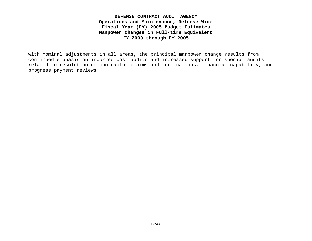**DEFENSE CONTRACT AUDIT AGENCY Operations and Maintenance, Defense-Wide Fiscal Year (FY) 2005 Budget Estimates Manpower Changes in Full-time Equivalent FY 2003 through FY 2005**

With nominal adjustments in all areas, the principal manpower change results from continued emphasis on incurred cost audits and increased support for special audits related to resolution of contractor claims and terminations, financial capability, and progress payment reviews.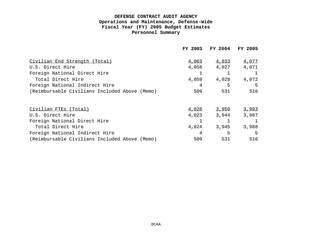|                                               | FY 2003 | FY 2004 | FY 2005 |
|-----------------------------------------------|---------|---------|---------|
| Civilian End Strength (Total)                 | 4,063   | 4,033   | 4,077   |
| U.S. Direct Hire                              | 4,058   | 4,027   | 4,071   |
| Foreign National Direct Hire                  |         |         |         |
| Total Direct Hire                             | 4,059   | 4,028   | 4,072   |
| Foreign National Indirect Hire                | 4       | 5       | 5       |
| (Reimbursable Civilians Included Above (Memo) | 509     | 531     | 516     |
|                                               |         |         |         |
| Civilian FTEs (Total)                         | 4,028   | 3,950   | 3,993   |
| U.S. Direct Hire                              | 4,023   | 3,944   | 3,987   |
| Foreign National Direct Hire                  |         |         |         |
| Total Direct Hire                             | 4,024   | 3,945   | 3,988   |
| Foreign National Indirect Hire                | 4       | 5       | 5       |
| (Reimbursable Civilians Included Above (Memo) | 509     | 531     | 516     |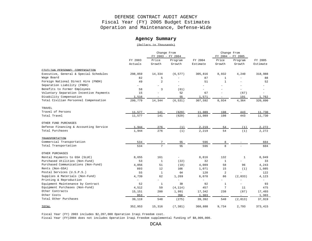#### **Agency Summary**

(Dollars in Thousands)

|                                         |                          |                          | Change From<br>FY 2003 - FY 2004 |                          | Change From<br>FY 2004 - FY 2005 |                          |                          |
|-----------------------------------------|--------------------------|--------------------------|----------------------------------|--------------------------|----------------------------------|--------------------------|--------------------------|
|                                         | FY 2003                  | Price                    | Program                          | FY 2004                  | Price                            | Program                  | FY 2005                  |
|                                         | Actuals                  | Growth                   | Growth                           | Estimate                 | Growth                           | Growth                   | Estimate                 |
| CIVILIAN PERSONNEL COMPENSATION         |                          |                          |                                  |                          |                                  |                          |                          |
| Executive, General & Special Schedules  | 298,059                  | 14,334                   | (6, 577)                         | 305,816                  | 8,932                            | 4,240                    | 318,988                  |
| Wage Board                              | 82                       | 5                        |                                  | 87                       | $\mathbf{1}$                     |                          | 88                       |
| Foreign National Direct Hire (FNDH)     | 49                       | 2                        |                                  | 51                       | $\mathbf{1}$                     |                          | 52                       |
| Separation Liability (FNDH)             |                          | $\overline{\phantom{a}}$ |                                  | $\overline{\phantom{a}}$ | $\overline{\phantom{a}}$         |                          |                          |
| Benefits to Former Employees            | 58                       | 3                        | (61)                             | $\overline{\phantom{a}}$ |                                  | ÷                        |                          |
| Voluntary Separation Incentive Payments | 15                       |                          | 52                               | 67                       |                                  | (67)                     | $\overline{\phantom{a}}$ |
| Disability Compensation                 | 1,516                    |                          | 55                               | 1,571                    |                                  | 191                      | 1,762                    |
| Total Civilian Personnel Compensation   | 299,779                  | 14,344                   | (6, 531)                         | 307,592                  | 8,934                            | 4,364                    | 320,890                  |
| TRAVEL                                  |                          |                          |                                  |                          |                                  |                          |                          |
| Travel of Persons                       | 11,577                   | 141                      | (629)                            | 11,089                   | 198                              | 443                      | 11,730                   |
| Total Travel                            | 11,577                   | 141                      | (629)                            | 11,089                   | 198                              | 443                      | 11,730                   |
| OTHER FUND PURCHASES                    |                          |                          |                                  |                          |                                  |                          |                          |
| Defense Financing & Accounting Service  | 1,944                    | 276                      | (1)                              | 2,219                    | 54                               | (1)                      | 2,272                    |
| Total Purchases                         | 1,944                    | 276                      | (1)                              | 2,219                    | 54                               | (1)                      | 2,272                    |
| <b>TRANSPORTATION</b>                   |                          |                          |                                  |                          |                                  |                          |                          |
| Commercial Transportation               | 534                      | $7\phantom{.}$           | 55                               | 596                      | 8                                | $\overline{\phantom{a}}$ | 604                      |
| Total Transportation                    | 534                      | $7\overline{ }$          | 55                               | 596                      | 8                                |                          | 604                      |
| OTHER PURCHASES                         |                          |                          |                                  |                          |                                  |                          |                          |
| Rental Payments to GSA (SLUC)           | 8,655                    | 161                      | $\overline{\phantom{a}}$         | 8,816                    | 132                              | $\mathbf{1}$             | 8,949                    |
| Purchased Utilities (Non-Fund)          | 53                       | $\mathbf{1}$             | (22)                             | 32                       | $\mathbf{1}$                     |                          | 33                       |
| Purchased Communications (Non-Fund)     | 4,056                    | 51                       | (18)                             | 4,089                    | 58                               | 96                       | 4,243                    |
| Rents (Non-GSA)                         | 893                      | 12                       | 166                              | 1,071                    | 15                               | (1)                      | 1,085                    |
| Postal Services (U.S.P.S.)              | 55                       | $\mathbf{1}$             | 64                               | 120                      | $\overline{2}$                   | $\overline{a}$           | 122                      |
| Supplies & Materials (Non-Fund)         | 4,739                    | 62                       | 1,269                            | 6,070                    | 86                               | (2,033)                  | 4,123                    |
| Printing & Reproduction                 | $\overline{\phantom{0}}$ | $\overline{\phantom{0}}$ | $\overline{\phantom{0}}$         | $\overline{\phantom{a}}$ | $\sim$                           | ÷                        |                          |
| Equipment Maintenance by Contract       | 52                       | $\mathbf{1}$             | 39                               | 92                       | $\mathbf{1}$                     |                          | 93                       |
| Equipment Purchases (Non-Fund)          | 4,512                    | 59                       | (4, 114)                         | 457                      | $7\overline{ }$                  | 11                       | 475                      |
| Other Contracts                         | 15,151                   | 200                      | 1,991                            | 17,342                   | 238                              | (87)                     | 17,493                   |
| Other Costs                             | 953                      | $ \,$                    | 350                              | 1,303                    | $-$                              | $\overline{\phantom{a}}$ | 1,303                    |
| Total Other Purchases                   | 39,119                   | 548                      | (275)                            | 39,392                   | 540                              | (2,013)                  | 37,919                   |
| TOTAL                                   | 352,953                  | 15,316                   | (7, 381)                         | 360,888                  | 9,734                            | 2,793                    | 373,415                  |

Fiscal Year (FY) 2003 includes \$2,207,000 Operation Iraqi Freedom cost.

Fiscal Year (FY)2004 does not includes Operation Iraqi Freedom supplemental funding of \$8,009,000.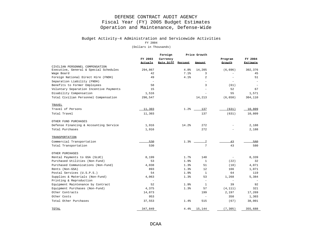#### Budget Activity-4 Administration and Servicewide Activities

FY 2004

|                                         |                          | Foreign           |            | Price Growth             |                          |                          |
|-----------------------------------------|--------------------------|-------------------|------------|--------------------------|--------------------------|--------------------------|
|                                         | FY 2003                  | Currency          |            |                          | Program                  | FY 2004                  |
|                                         | Actuals                  | Rate Diff Percent |            | Amount                   | Growth                   | <b>Estimate</b>          |
| CIVILIAN PERSONNEL COMPENSATION         |                          |                   |            |                          |                          |                          |
| Executive, General & Special Schedules  | 294,867                  |                   | 4.8%       | 14,205                   | (6, 696)                 | 302,376                  |
| Wage Board                              | 42                       |                   | 7.1%       | 3                        |                          | 45                       |
| Foreign National Direct Hire (FNDH)     | 49                       |                   | 4.1%       | $\overline{a}$           |                          | 51                       |
| Separation Liability (FNDH)             | $\overline{\phantom{a}}$ |                   |            | $\overline{\phantom{a}}$ | $\overline{\phantom{a}}$ |                          |
| Benefits to Former Employees            | 58                       |                   |            | 3                        | (61)                     |                          |
| Voluntary Separation Incentive Payments | 15                       |                   |            | $\overline{\phantom{a}}$ | 52                       | 67                       |
| Disability Compensation                 | 1,516                    |                   |            |                          | 55                       | 1,571                    |
| Total Civilian Personnel Compensation   | 296,547                  |                   |            | 14,213                   | (6, 650)                 | 304,110                  |
| TRAVEL                                  |                          |                   |            |                          |                          |                          |
| Travel of Persons                       | 11,303                   |                   | 1.2%       | 137                      | (631)                    | 10,809                   |
| Total Travel                            | 11,303                   |                   |            | 137                      | (631)                    | 10,809                   |
| OTHER FUND PURCHASES                    |                          |                   |            |                          |                          |                          |
| Defense Financing & Accounting Service  | 1,916                    |                   | 14.2%      | 272                      |                          | 2,188                    |
| Total Purchases                         | 1,916                    |                   |            | 272                      |                          | 2,188                    |
| TRANSPORTATION                          |                          |                   |            |                          |                          |                          |
| Commercial Transportation               | 530                      |                   | $1.3%$ $-$ | 7                        | 43                       | 580                      |
| Total Transportation                    | 530                      |                   |            | 7                        | 43                       | 580                      |
| OTHER PURCHASES                         |                          |                   |            |                          |                          |                          |
| Rental Payments to GSA (SLUC)           | 8,199                    |                   | 1.7%       | 140                      | $\overline{\phantom{a}}$ | 8,339                    |
| Purchased Utilities (Non-Fund)          | 53                       |                   | 1.9%       | $\mathbf{1}$             | (22)                     | 32                       |
| Purchased Communications (Non-Fund)     | 4,038                    |                   | 1.3%       | 51                       | (18)                     | 4,071                    |
| Rents (Non-GSA)                         | 893                      |                   | 1.3%       | 12                       | 166                      | 1,071                    |
| Postal Services (U.S.P.S.)              | 54                       |                   | 1.9%       | $\mathbf{1}$             | 64                       | 119                      |
| Supplies & Materials (Non-Fund)         | 4,063                    |                   | 1.3%       | 53                       | 1,268                    | 5,384                    |
| Printing & Reproduction                 | $\overline{\phantom{a}}$ |                   |            | $\overline{\phantom{a}}$ | $\overline{\phantom{a}}$ | $\overline{\phantom{a}}$ |
| Equipment Maintenance by Contract       | 52                       |                   | 1.9%       | $\mathbf{1}$             | 39                       | 92                       |
| Equipment Purchases (Non-Fund)          | 4,375                    |                   | 1.3%       | 57                       | (4, 111)                 | 321                      |
| Other Contracts                         | 14,873                   |                   |            | 199                      | 2,197                    | 17,269                   |
| Other Costs                             | 953                      |                   |            | $\overline{\phantom{a}}$ | 350                      | 1,303                    |
| Total Other Purchases                   | 37,553                   |                   | 1.4%       | 515                      | (67)                     | 38,001                   |
| TOTAL                                   | 347,849                  |                   | 4.4%       | 15,144                   | (7, 305)                 | 355,688                  |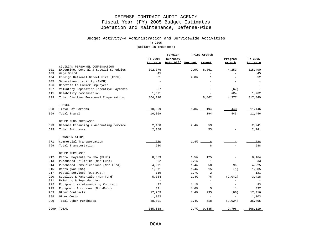# Budget Activity-4 Administration and Servicewide Activities

FY 2005

|      |                                         |                          | Foreign           |      | Price Growth             |                          |                 |
|------|-----------------------------------------|--------------------------|-------------------|------|--------------------------|--------------------------|-----------------|
|      |                                         | FY 2004                  | Currency          |      |                          | Program                  | FY 2005         |
|      |                                         | <b>Estimate</b>          | Rate Diff Percent |      | <b>Amount</b>            | Growth                   | <b>Estimate</b> |
|      | CIVILIAN PERSONNEL COMPENSATION         |                          |                   |      |                          |                          |                 |
| 101  | Executive, General & Special Schedules  | 302,376                  |                   | 2.9% | 8,861                    | 4,253                    | 315,490         |
| 103  | Wage Board                              | 45                       |                   |      |                          |                          | 45              |
| 104  | Foreign National Direct Hire (FNDH)     | 51                       |                   | 2.0% | 1                        | $\equiv$                 | 52              |
| 105  | Separation Liability (FNDH)             | $\overline{\phantom{a}}$ |                   |      | $\equiv$                 | $\sim$                   |                 |
| 106  | Benefits to Former Employees            | $\overline{\phantom{a}}$ |                   |      |                          | $\equiv$                 |                 |
| 107  | Voluntary Separation Incentive Payments | 67                       |                   |      |                          | (67)                     |                 |
| 111  | Disability Compensation                 | 1,571                    |                   |      |                          | 191                      | 1,762           |
| 199  | Total Civilian Personnel Compensation   | 304,110                  |                   |      | 8,862                    | 4,377                    | 317,349         |
|      | TRAVEL                                  |                          |                   |      |                          |                          |                 |
| 308  | Travel of Persons                       | 10,809                   |                   | 1.8% | 194                      | 443                      | 11,446          |
| 399  | Total Travel                            | 10,809                   |                   |      | 194                      | 443                      | 11,446          |
|      | OTHER FUND PURCHASES                    |                          |                   |      |                          |                          |                 |
| 673  | Defense Financing & Accounting Service  | 2,188                    |                   | 2.4% | 53                       |                          | 2,241           |
| 699  | Total Purchases                         | 2,188                    |                   |      | 53                       |                          | 2,241           |
|      | TRANSPORTATION                          |                          |                   |      |                          |                          |                 |
| 771  | Commercial Transportation               | 580                      |                   | 1.4% | $\mathsf{R}$             |                          | 588             |
| 799  | Total Transportation                    | 580                      |                   |      | 8                        |                          | 588             |
|      |                                         |                          |                   |      |                          |                          |                 |
|      | OTHER PURCHASES                         |                          |                   |      |                          |                          |                 |
| 912  | Rental Payments to GSA (SLUC)           | 8,339                    |                   | 1.5% | 125                      | $\overline{\phantom{a}}$ | 8,464           |
| 913  | Purchased Utilities (Non-Fund)          | 32                       |                   | 3.1% | $\mathbf{1}$             |                          | 33              |
| 914  | Purchased Communications (Non-Fund)     | 4,071                    |                   | 1.4% | 58                       | 96                       | 4,225           |
| 915  | Rents (Non-GSA)                         | 1,071                    |                   | 1.4% | 15                       | (1)                      | 1,085           |
| 917  | Postal Services (U.S.P.S.)              | 119                      |                   | 1.7% | $\overline{a}$           | $\equiv$                 | 121             |
| 920  | Supplies & Materials (Non-Fund)         | 5,384                    |                   | 1.4% | 76                       | (2,042)                  | 3,418           |
| 921  | Printing & Reproduction                 | $\overline{\phantom{a}}$ |                   |      | $\overline{\phantom{a}}$ | $\overline{\phantom{a}}$ |                 |
| 922  | Equipment Maintenance by Contract       | 92                       |                   | 1.1% | $\mathbf{1}$             | $\overline{\phantom{a}}$ | 93              |
| 925  | Equipment Purchases (Non-Fund)          | 321                      |                   | 1.6% | 5                        | 11                       | 337             |
| 989  | Other Contracts                         | 17,269                   |                   | 1.4% | 235                      | (88)                     | 17,416          |
| 998  | Other Costs                             | 1,303                    |                   |      | $\equiv$                 | $\overline{\phantom{a}}$ | 1,303           |
| 999  | Total Other Purchases                   | 38,001                   |                   | 1.4% | 518                      | (2,024)                  | 36,495          |
| 9999 | TOTAL                                   | 355,688                  |                   | 2.7% | 9,635                    | 2,796                    | 368,119         |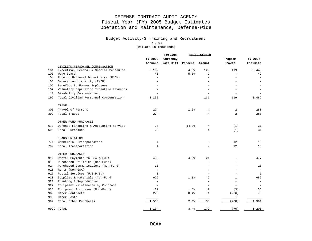#### Budget Activity-3 Training and Recruitment

FY 2004

|      |                                         |                                 | Foreign           |       | Price Growth   |                          |          |
|------|-----------------------------------------|---------------------------------|-------------------|-------|----------------|--------------------------|----------|
|      |                                         | FY 2003                         | Currency          |       |                | Program                  | FY 2004  |
|      |                                         | Actuals                         | Rate Diff Percent |       | Amount         | Growth                   | Estimate |
|      | CIVILIAN PERSONNEL COMPENSATION         |                                 |                   |       |                |                          |          |
| 101  | Executive, General & Special Schedules  | 3,192                           |                   | 4.0%  | 129            | 119                      | 3,440    |
| 103  | Wage Board                              | 40                              |                   | 5.0%  | $\overline{a}$ | $\equiv$                 | 42       |
| 104  | Foreign National Direct Hire (FNDH)     | $\equiv$                        |                   |       |                | $\equiv$                 |          |
| 105  | Separation Liability (FNDH)             |                                 |                   |       |                | $\equiv$                 |          |
| 106  | Benefits to Former Employees            |                                 |                   |       |                |                          |          |
| 107  | Voluntary Separation Incentive Payments |                                 |                   |       |                |                          |          |
| 111  | Disability Compensation                 |                                 |                   |       |                |                          |          |
| 199  | Total Civilian Personnel Compensation   | 3,232                           |                   |       | 131            | 119                      | 3,482    |
|      | TRAVEL                                  |                                 |                   |       |                |                          |          |
| 308  | Travel of Persons                       | 274                             |                   | 1.5%  | $\overline{4}$ | 2                        | 280      |
| 399  | Total Travel                            | 274                             |                   |       | $\overline{4}$ | 2                        | 280      |
|      | OTHER FUND PURCHASES                    |                                 |                   |       |                |                          |          |
| 673  | Defense Financing & Accounting Service  | 28                              |                   | 14.3% | $\overline{4}$ | (1)                      | 31       |
| 699  | Total Purchases                         | 28                              |                   |       | 4              | (1)                      | 31       |
|      | <b>TRANSPORTATION</b>                   |                                 |                   |       |                |                          |          |
| 771  | Commercial Transportation               | 4                               |                   |       |                | 12                       | 16       |
| 799  | Total Transportation                    | $\overline{4}$                  |                   |       |                | 12                       | 16       |
|      | OTHER PURCHASES                         |                                 |                   |       |                |                          |          |
| 912  | Rental Payments to GSA (SLUC)           | 456                             |                   | 4.6%  | 21             |                          | 477      |
| 913  | Purchased Utilities (Non-Fund)          | $\sim$                          |                   |       |                |                          |          |
| 914  | Purchased Communications (Non-Fund)     | 18                              |                   |       |                | $\overline{\phantom{a}}$ | 18       |
| 915  | Rents (Non-GSA)                         | $\sim$                          |                   |       |                | $\equiv$                 |          |
| 917  | Postal Services (U.S.P.S.)              | $\mathbf{1}$                    |                   |       |                |                          | 1        |
| 920  | Supplies & Materials (Non-Fund)         | 676                             |                   | 1.3%  | 9              | $\mathbf{1}$             | 686      |
| 921  | Printing & Reproduction                 | $\equiv$                        |                   |       |                |                          |          |
| 922  | Equipment Maintenance by Contract       | $\sim$                          |                   |       |                | $\sim$                   |          |
| 925  | Equipment Purchases (Non-Fund)          | 137                             |                   | 1.5%  | $\overline{a}$ | (3)                      | 136      |
| 989  | Other Contracts                         | 278                             |                   | 0.4%  | 1              | (206)                    | 73       |
| 998  | Other Costs                             | $\hspace{0.1mm}-\hspace{0.1mm}$ |                   |       |                | $\equiv$                 |          |
| 999  | Total Other Purchases                   | 1.566                           |                   | 2.1%  | 33             | (208)                    | 1.391    |
| 9999 | TOTAL                                   | 5,104                           |                   | 3.4%  | 172            | (76)                     | 5,200    |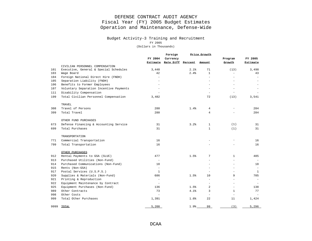#### Budget Activity-3 Training and Recruitment

FY 2005

|      |                                         |                          | Foreign                    |      | Price Growth             |                          |              |
|------|-----------------------------------------|--------------------------|----------------------------|------|--------------------------|--------------------------|--------------|
|      |                                         | FY 2004                  | Currency                   |      |                          | Program                  | FY 2005      |
|      |                                         |                          | Estimate Rate Diff Percent |      | Amount.                  | Growth                   | Estimate     |
|      | CIVILIAN PERSONNEL COMPENSATION         |                          |                            |      |                          |                          |              |
| 101  | Executive, General & Special Schedules  | 3,440                    |                            | 2.1% | 71                       | (13)                     | 3,498        |
| 103  | Wage Board                              | 42                       |                            | 2.4% | $\mathbf{1}$             | $\bar{a}$                | 43           |
| 104  | Foreign National Direct Hire (FNDH)     | $\overline{\phantom{a}}$ |                            |      |                          | $\equiv$                 |              |
| 105  | Separation Liability (FNDH)             |                          |                            |      |                          | $\overline{\phantom{a}}$ |              |
| 106  | Benefits to Former Employees            |                          |                            |      |                          |                          |              |
| 107  | Voluntary Separation Incentive Payments |                          |                            |      |                          |                          |              |
| 111  | Disability Compensation                 |                          |                            |      |                          |                          |              |
| 199  | Total Civilian Personnel Compensation   | 3,482                    |                            |      | 72                       | (13)                     | 3,541        |
|      | TRAVEL                                  |                          |                            |      |                          |                          |              |
| 308  | Travel of Persons                       | 280                      |                            | 1.4% | 4                        |                          | 284          |
| 399  | Total Travel                            | 280                      |                            |      | $\overline{4}$           |                          | 284          |
|      | OTHER FUND PURCHASES                    |                          |                            |      |                          |                          |              |
| 673  | Defense Financing & Accounting Service  | 31                       |                            | 3.2% | $\mathbf{1}$             | (1)                      | 31           |
| 699  | Total Purchases                         | 31                       |                            |      | $\mathbf{1}$             | (1)                      | 31           |
|      | TRANSPORTATION                          |                          |                            |      |                          |                          |              |
| 771  | Commercial Transportation               | 16                       |                            |      |                          |                          | 16           |
| 799  | Total Transportation                    | 16                       |                            |      |                          |                          | 16           |
|      | OTHER PURCHASES                         |                          |                            |      |                          |                          |              |
| 912  | Rental Payments to GSA (SLUC)           | 477                      |                            | 1.5% | 7                        | $\mathbf{1}$             | 485          |
| 913  | Purchased Utilities (Non-Fund)          | $\sim$                   |                            |      |                          |                          |              |
| 914  | Purchased Communications (Non-Fund)     | 18                       |                            |      |                          | $\overline{\phantom{a}}$ | 18           |
| 915  | Rents (Non-GSA)                         | $\sim$                   |                            |      | $\equiv$                 | $\sim$                   |              |
| 917  | Postal Services (U.S.P.S.)              | $\mathbf{1}$             |                            |      |                          |                          | $\mathbf{1}$ |
| 920  | Supplies & Materials (Non-Fund)         | 686                      |                            | 1.5% | 10                       | 9                        | 705          |
| 921  | Printing & Reproduction                 | ÷,                       |                            |      |                          |                          |              |
| 922  | Equipment Maintenance by Contract       | $\overline{\phantom{a}}$ |                            |      |                          | ÷.                       |              |
| 925  | Equipment Purchases (Non-Fund)          | 136                      |                            | 1.5% | $\overline{a}$           | $\overline{\phantom{a}}$ | 138          |
| 989  | Other Contracts                         | 73                       |                            | 4.1% | 3                        | $\mathbf{1}$             | 77           |
| 998  | Other Costs                             | $\overline{\phantom{a}}$ |                            |      | $\overline{\phantom{a}}$ | $\overline{\phantom{a}}$ |              |
| 999  | Total Other Purchases                   | 1,391                    |                            | 1.6% | 22                       | 11                       | 1,424        |
| 9999 | TOTAL                                   | 5,200                    |                            | 1.9% | 99                       | (3)                      | 5,296        |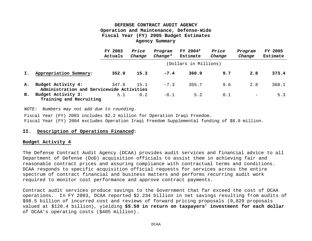|    |                                                                 | FY 2003<br>Actuals | Price<br>Change | Program<br>$Change*$ | FY 2004*<br>Estimate  | Price<br>Change | Program<br>Change | FY 2005<br>Estimate |
|----|-----------------------------------------------------------------|--------------------|-----------------|----------------------|-----------------------|-----------------|-------------------|---------------------|
|    |                                                                 |                    |                 |                      | (Dollars in Millions) |                 |                   |                     |
| I. | Appropriation Summary:                                          | 352.9              | 15.3            | $-7.4$               | 360.9                 | 9.7             | 2.8               | 373.4               |
| Α. | Budget Activity 4:<br>Administration and Servicewide Activities | 347.8              | 15.1            | $-7.3$               | 355.7                 | 9.6             | 2.8               | 368.1               |
| B. | Budget Activity 3:<br>Training and Recruiting                   | 5.1                | 0.2             | $-0.1$               | 5.2                   | 0.1             | $\qquad \qquad -$ | 5.3                 |

*NOTE: Numbers may not add due to rounding.*

Fiscal Year (FY) 2003 includes \$2.2 million for Operation Iraqi Freedom. Fiscal Year (FY) 2004 excludes Operation Iraqi Freedom Supplemental funding of \$8.0 million.

#### **II. Description of Operations Financed:**

#### **Budget Activity 4**

The Defense Contract Audit Agency (DCAA) provides audit services and financial advice to all Department of Defense (DoD) acquisition officials to assist them in achieving fair and reasonable contract prices and assuring compliance with contractual terms and conditions. DCAA responds to specific acquisition official requests for services across the entire spectrum of contract financial and business matters and performs recurring audit work required to monitor cost performance and approve contract payments.

Contract audit services produce savings to the Government that far exceed the cost of DCAA operations. In FY 2003, DCAA reported \$2.234 billion in net savings resulting from audits of \$98.5 billion of incurred cost and reviews of forward pricing proposals (9,829 proposals valued at \$120.4 billion), yielding **\$5.50 in return on taxpayers' investment for each dollar** of DCAA's operating costs (\$405 million).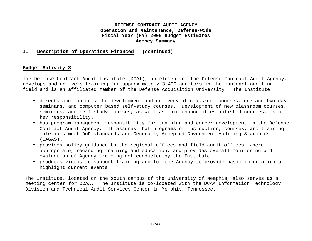#### **II. Description of Operations Financed: (continued)**

#### **Budget Activity 3**

The Defense Contract Audit Institute (DCAI), an element of the Defense Contract Audit Agency, develops and delivers training for approximately 3,400 auditors in the contract auditing field and is an affiliated member of the Defense Acquisition University. The Institute:

- directs and controls the development and delivery of classroom courses, one and two-day seminars, and computer based self-study courses. Development of new classroom courses, seminars, and self-study courses, as well as maintenance of established courses, is a key responsibility.
- has program management responsibility for training and career development in the Defense Contract Audit Agency. It assures that programs of instruction, courses, and training materials meet DoD standards and Generally Accepted Government Auditing Standards (GAGAS).
- provides policy guidance to the regional offices and field audit offices, where appropriate, regarding training and education, and provides overall monitoring and evaluation of Agency training not conducted by the Institute.
- produces videos to support training and for the Agency to provide basic information or highlight current events.

The Institute, located on the south campus of the University of Memphis, also serves as a meeting center for DCAA. The Institute is co-located with the DCAA Information Technology Division and Technical Audit Services Center in Memphis, Tennessee.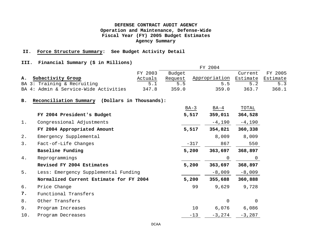#### **II. Force Structure Summary: See Budget Activity Detail**

#### **III. Financial Summary (\$ in Millions)**

|     |                                                   | FY 2003 | Budget  |        |                | Current  | FY 2005  |
|-----|---------------------------------------------------|---------|---------|--------|----------------|----------|----------|
| Α.  | Subactivity Group                                 | Actuals | Request |        | Appropriation  | Estimate | Estimate |
|     | BA 3: Training & Recruiting                       | 5.1     | 5.5     |        | 5.5            | 5.2      | 5.3      |
|     | BA 4: Admin & Service-Wide Activities             | 347.8   | 359.0   |        | 359.0          | 363.7    | 368.1    |
| в.  | Reconciliation Summary<br>(Dollars in Thousands): |         |         |        |                |          |          |
|     |                                                   |         |         | $BA-3$ | BA-4           | TOTAL    |          |
|     | FY 2004 President's Budget                        |         |         | 5,517  | 359,011        | 364,528  |          |
| 1.  | Congressional Adjustments                         |         |         |        | $-4,190$       | $-4,190$ |          |
|     | FY 2004 Appropriated Amount                       |         |         | 5,517  | 354,821        | 360,338  |          |
| 2.  | Emergency Supplemental                            |         |         |        | 8,009          | 8,009    |          |
| 3.  | Fact-of-Life Changes                              |         |         | $-317$ | 867            | 550      |          |
|     | Baseline Funding                                  |         |         | 5,200  | 363,697        | 368,897  |          |
| 4.  | Reprogrammings                                    |         |         |        | $\overline{0}$ | 0        |          |
|     | Revised FY 2004 Estimates                         |         |         | 5,200  | 363,697        | 368,897  |          |
| 5.  | Less: Emergency Supplemental Funding              |         |         |        | $-8,009$       | $-8,009$ |          |
|     | Normalized Current Estimate for FY 2004           |         |         | 5,200  | 355,688        | 360,888  |          |
| б.  | Price Change                                      |         |         | 99     | 9,629          | 9,728    |          |
| 7.  | Functional Transfers                              |         |         |        |                |          |          |
| 8.  | Other Transfers                                   |         |         |        | 0              | 0        |          |
| 9.  | Program Increases                                 |         |         | 10     | 6,076          | 6,086    |          |
| 10. | Program Decreases                                 |         |         | $-13$  | $-3,274$       | $-3,287$ |          |
|     |                                                   |         |         |        |                |          |          |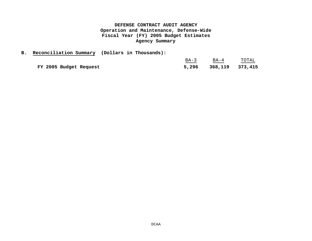|                        | B. Reconciliation Summary (Dollars in Thousands): |        |                 |       |
|------------------------|---------------------------------------------------|--------|-----------------|-------|
|                        |                                                   | $BA-3$ | BA-4            | TOTAL |
| FY 2005 Budget Request |                                                   | 5,296  | 368,119 373,415 |       |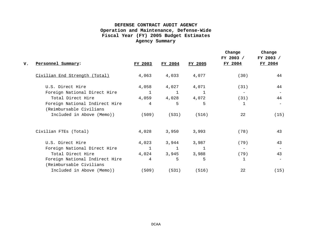| v. | Personnel Summary:                                        | FY 2003      | FY 2004      | FY 2005 | Change<br>FY 2003 /<br>FY 2004 | Change<br>FY 2003 /<br>FY 2004 |
|----|-----------------------------------------------------------|--------------|--------------|---------|--------------------------------|--------------------------------|
|    | Civilian End Strength (Total)                             | 4,063        | 4,033        | 4,077   | (30)                           | 44                             |
|    | U.S. Direct Hire                                          | 4,058        | 4,027        | 4,071   | (31)                           | 44                             |
|    | Foreign National Direct Hire                              | $\mathbf{1}$ | $\mathbf{1}$ |         | $\overline{\phantom{m}}$       |                                |
|    | Total Direct Hire                                         | 4,059        | 4,028        | 4,072   | (31)                           | 44                             |
|    | Foreign National Indirect Hire<br>(Reimbursable Civilians | 4            | 5            | 5       | 1                              |                                |
|    | Included in Above (Memo))                                 | (509)        | (531)        | (516)   | 22                             | (15)                           |
|    | Civilian FTEs (Total)                                     | 4,028        | 3,950        | 3,993   | (78)                           | 43                             |
|    | U.S. Direct Hire                                          | 4,023        | 3,944        | 3,987   | (79)                           | 43                             |
|    | Foreign National Direct Hire                              | $\mathbf{1}$ | 1            |         |                                |                                |
|    | Total Direct Hire                                         | 4,024        | 3,945        | 3,988   | (79)                           | 43                             |
|    | Foreign National Indirect Hire<br>(Reimbursable Civilians | 4            | 5            | 5       | 1                              |                                |
|    | Included in Above (Memo))                                 | (509)        | (531)        | (516)   | 22                             | (15)                           |
|    |                                                           |              |              |         |                                |                                |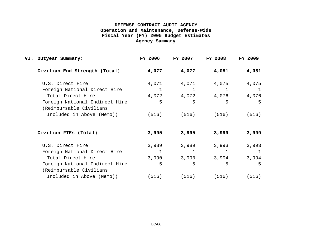| VI. | Outyear Summary:                                          | FY 2006     | FY 2007      | <b>FY 2008</b> | FY 2009        |
|-----|-----------------------------------------------------------|-------------|--------------|----------------|----------------|
|     | Civilian End Strength (Total)                             | 4,077       | 4,077        | 4,081          | 4,081          |
|     | U.S. Direct Hire                                          | 4,071       | 4,071        | 4,075          | 4,075          |
|     | Foreign National Direct Hire                              | $\mathbf 1$ | $\mathbf{1}$ | 1              | $\overline{1}$ |
|     | Total Direct Hire                                         | 4,072       | 4,072        | 4,076          | 4,076          |
|     | Foreign National Indirect Hire<br>(Reimbursable Civilians | 5           | 5            | 5              | 5              |
|     | Included in Above (Memo))                                 | (516)       |              | $(516)$ (516)  | (516)          |
|     | Civilian FTES (Total)                                     | 3,995       | 3,995        | 3,999          | 3,999          |
|     | U.S. Direct Hire                                          | 3,989       | 3,989        | 3,993          | 3,993          |
|     | Foreign National Direct Hire                              | 1           |              | 1              | $\mathbf{1}$   |
|     | Total Direct Hire                                         | 3,990       | 3,990        | 3,994          | 3,994          |
|     | Foreign National Indirect Hire<br>(Reimbursable Civilians | 5           | 5            | 5              | 5              |
|     | Included in Above (Memo))                                 | (516)       | (516)        | (516)          | (516)          |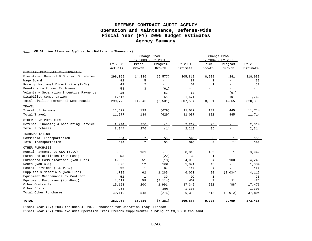#### **VII. OP 32 Line Items as Applicable (Dollars in Thousands):**

|                                         |         | Change From<br>FY 2003 - FY 2004 |          |          | Change From<br>FY 2004 - FY 2005 |         |          |
|-----------------------------------------|---------|----------------------------------|----------|----------|----------------------------------|---------|----------|
|                                         | FY 2003 | Price                            | Program  | FY 2004  | Price                            | Program | FY 2005  |
|                                         | Actuals | Growth                           | Growth   | Estimate | Growth                           | Growth  | Estimate |
| CIVILIAN DERSONNEL COMPENSATION         |         |                                  |          |          |                                  |         |          |
| Executive, General & Special Schedules  | 298,059 | 14,336                           | (6, 577) | 305,818  | 8,929                            | 4,241   | 318,988  |
| Wage Board                              | 82      | 5                                |          | 87       | 1                                |         | 88       |
| Foreign National Direct Hire (FNDH)     | 49      | $\overline{a}$                   |          | 51       | $\mathbf{1}$                     |         | 52       |
| Benefits to Former Employees            | 58      | 3                                | (61)     |          |                                  |         |          |
| Voluntary Separation Incentive Payments | 15      |                                  | 52       | 67       |                                  | (67)    |          |
| Disability Compensation                 | 1.516   |                                  | 55       | 1.571    |                                  | 191     | 1,762    |
| Total Civilian Personnel Compensation   | 299,779 | 14,346                           | (6, 531) | 307,594  | 8,931                            | 4,365   | 320,890  |
| TRAVEL                                  |         |                                  |          |          |                                  |         |          |
| Travel of Persons                       | 11,577  | 139                              | (629)    | 11,087   | 182                              | 445     | 11,714   |
| Total Travel                            | 11,577  | 139                              | (629)    | 11,087   | 182                              | 445     | 11,714   |
| OTHER FUND PURCHASES                    |         |                                  |          |          |                                  |         |          |
| Defense Financing & Accounting Service  | 1.944   | 276                              | (1)      | 2,219    | 95                               |         | 2,314    |
| Total Purchases                         | 1,944   | 276                              | (1)      | 2,219    | 95                               |         | 2,314    |
| TRANSPORTATION                          |         |                                  |          |          |                                  |         |          |
| Commercial Transportation               | 534     | 7                                | 55       | 596      | 8                                | (1)     | 603      |
| Total Transportation                    | 534     | 7                                | 55       | 596      | 8                                | (1)     | 603      |
| OTHER PURCHASES                         |         |                                  |          |          |                                  |         |          |
| Rental Payments to GSA (SLUC)           | 8,655   | 161                              |          | 8,816    | 132                              | 1       | 8,949    |
| Purchased Utilities (Non-Fund)          | 53      | $\mathbf{1}$                     | (22)     | 32       | $\mathbf{1}$                     |         | 33       |
| Purchased Communications (Non-Fund)     | 4,056   | 51                               | (18)     | 4,089    | 54                               | 100     | 4,243    |
| Rents (Non-GSA)                         | 893     | 12                               | 166      | 1,071    | 13                               |         | 1,084    |
| Postal Services (U.S.P.S.)              | 55      | $\mathbf{1}$                     | 64       | 120      | 2                                |         | 122      |
| Supplies & Materials (Non-Fund)         | 4,739   | 62                               | 1,269    | 6,070    | 80                               | (2,034) | 4,116    |
| Equipment Maintenance by Contract       | 52      | $\mathbf{1}$                     | 39       | 92       | $\mathbf{1}$                     |         | 93       |
| Equipment Purchases (Non-Fund)          | 4,512   | 59                               | (4, 114) | 457      | 7                                | 11      | 475      |
| Other Contracts                         | 15,151  | 200                              | 1,991    | 17,342   | 222                              | (88)    | 17,476   |
| Other Costs                             | 953     |                                  | 350      | 1.303    |                                  |         | 1,303    |
| Total Other Purchases                   | 39,119  | 548                              | (275)    | 39,392   | 512                              | (2,010) | 37,894   |
| TOTAL                                   | 352,953 | 15,316                           | (7, 381) | 360,888  | 9,728                            | 2,799   | 373,415  |

Fiscal Year (FY) 2003 includes \$2,207.0 thousand for Operation Iraqi Freedom.

Fiscal Year (FY) 2004 excludes Operation Iraqi Freedom Supplemental funding of \$8,009.0 thousand.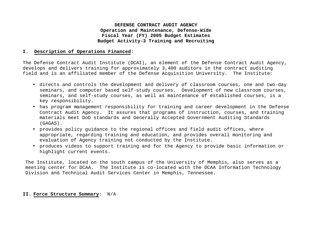#### **I. Description of Operations Financed:**

The Defense Contract Audit Institute (DCAI), an element of the Defense Contract Audit Agency, develops and delivers training for approximately 3,400 auditors in the contract auditing field and is an affiliated member of the Defense Acquisition University. The Institute:

- directs and controls the development and delivery of classroom courses, one and two-day seminars, and computer based self-study courses. Development of new classroom courses, seminars, and self-study courses, as well as maintenance of established courses, is a key responsibility.
- has program management responsibility for training and career development in the Defense Contract Audit Agency. It assures that programs of instruction, courses, and training materials meet DoD standards and Generally Accepted Government Auditing Standards (GAGAS).
- provides policy guidance to the regional offices and field audit offices, where appropriate, regarding training and education, and provides overall monitoring and evaluation of Agency training not conducted by the Institute.
- produces videos to support training and for the Agency to provide basic information or highlight current events.

The Institute, located on the south campus of the University of Memphis, also serves as a meeting center for DCAA. The Institute is co-located with the DCAA Information Technology Division and Technical Audit Services Center in Memphis, Tennessee.

#### **II. Force Structure Summary:** N/A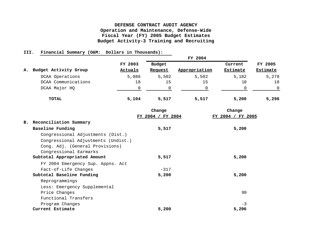#### **III. Financial Summary (O&M: Dollars in Thousands):**

|    |                       |         | FY 2004 |               |          |          |  |  |  |
|----|-----------------------|---------|---------|---------------|----------|----------|--|--|--|
|    |                       | FY 2003 | Budget  |               | Current  | FY 2005  |  |  |  |
| А. | Budget Activity Group | Actuals | Request | Appropriation | Estimate | Estimate |  |  |  |
|    | DCAA Operations       | 5,086   | 5,502   | 5,502         | 5,182    | 5,278    |  |  |  |
|    | DCAA Communications   | 18      | 15      | 15            | 18       | 18       |  |  |  |
|    | DCAA Major HQ         |         |         |               |          | $\Omega$ |  |  |  |
|    | TOTAL                 | 5,104   | 5,517   | 5,517         | 5,200    | 5,296    |  |  |  |

|                                     | Change            | Change                      |
|-------------------------------------|-------------------|-----------------------------|
|                                     | FY 2004 / FY 2004 | <b>FY 2005</b><br>FY 2004 / |
| B. Reconciliation Summary           |                   |                             |
| Baseline Funding                    | 5,517             | 5,200                       |
| Congressional Adjustments (Dist.)   |                   |                             |
| Congressional Adjustments (Undist.) |                   |                             |
| Cong. Adj. (General Provisions)     |                   |                             |
| Congressional Earmarks              |                   |                             |
| Subtotal Appropriated Amount        | 5,517             | 5,200                       |
| FY 2004 Emergency Sup. Appns. Act   |                   |                             |
| Fact-of-Life Changes                | $-317$            |                             |
| Subtotal Baseline Funding           | 5,200             | 5,200                       |
| Reprogrammings                      |                   |                             |
| Less: Emergency Supplemental        |                   |                             |
| Price Changes                       |                   | 99                          |
| Functional Transfers                |                   |                             |
| Program Changes                     |                   | $-3$                        |
| Current Estimate                    | 5,200             | 5,296                       |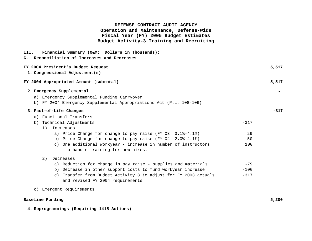| Financial Summary (O&M: Dollars in Thousands):<br>III.<br>C. Reconciliation of Increases and Decreases             |        |
|--------------------------------------------------------------------------------------------------------------------|--------|
| FY 2004 President's Budget Request<br>1. Congressional Adjustment(s)                                               | 5,517  |
| FY 2004 Appropriated Amount (subtotal)                                                                             | 5,517  |
| 2. Emergency Supplemental                                                                                          |        |
| a) Emergency Supplemental Funding Carryover<br>b) FY 2004 Emergency Supplemental Appropriations Act (P.L. 108-106) |        |
| 3. Fact-of-Life Changes                                                                                            | $-317$ |
| a) Functional Transfers                                                                                            |        |
| $-317$<br>b) Technical Adjustments                                                                                 |        |
| Increases<br>1)                                                                                                    |        |
| a) Price Change for change to pay raise (FY 03: $3.1\text{*}-4.1\text{*}$ )<br>29                                  |        |
| b) Price Change for change to pay raise (FY 04: 2.0%-4.1%)<br>50                                                   |        |
| c) One additional workyear - increase in number of instructors<br>100<br>to handle training for new hires.         |        |
| 2)<br>Decreases                                                                                                    |        |
| a) Reduction for change in pay raise - supplies and materials<br>$-79$                                             |        |
| b) Decrease in other support costs to fund workyear increase<br>$-100$                                             |        |
| c) Transfer from Budget Activity 3 to adjust for FY 2003 actuals<br>$-317$<br>and revised FY 2004 requirements     |        |
| c) Emergent Requirements                                                                                           |        |
| Baseline Funding                                                                                                   | 5,200  |

**4. Reprogrammings (Requiring 1415 Actions)**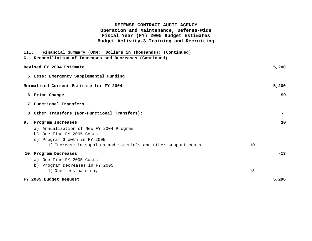| Financial Summary (O&M: Dollars in Thousands): (Continued)<br>III. |       |       |
|--------------------------------------------------------------------|-------|-------|
| C. Reconciliation of Increases and Decreases (Continued)           |       |       |
| Revised FY 2004 Estimate                                           |       | 5,200 |
| 5. Less: Emergency Supplemental Funding                            |       |       |
| Normalized Current Estimate for FY 2004                            |       | 5,200 |
| 6. Price Change                                                    |       | 99    |
| 7. Functional Transfers                                            |       |       |
| 8. Other Transfers (Non-Functional Transfers):                     |       |       |
| Program Increases<br>9.                                            |       | 10    |
| a) Annualization of New FY 2004 Program                            |       |       |
| b) One-Time FY 2005 Costs                                          |       |       |
| c) Program Growth in FY 2005                                       |       |       |
| 1) Increase in supplies and materials and other support costs      | 10    |       |
| 10. Program Decreases                                              |       | $-13$ |
| a) One-Time FY 2005 Costs                                          |       |       |
| b) Program Decreases in FY 2005                                    |       |       |
| 1) One less paid day                                               | $-13$ |       |
| FY 2005 Budget Request                                             |       | 5,296 |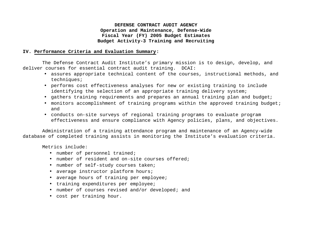#### **IV. Performance Criteria and Evaluation Summary:**

The Defense Contract Audit Institute's primary mission is to design, develop, and deliver courses for essential contract audit training. DCAI:

- assures appropriate technical content of the courses, instructional methods, and techniques;
- performs cost effectiveness analyses for new or existing training to include identifying the selection of an appropriate training delivery system;
- gathers training requirements and prepares an annual training plan and budget;
- monitors accomplishment of training programs within the approved training budget; and
- conducts on-site surveys of regional training programs to evaluate program effectiveness and ensure compliance with Agency policies, plans, and objectives.

Administration of a training attendance program and maintenance of an Agency-wide database of completed training assists in monitoring the Institute's evaluation criteria.

Metrics include:

- number of personnel trained;
- number of resident and on-site courses offered;
- number of self-study courses taken;
- average instructor platform hours;
- average hours of training per employee;
- training expenditures per employee;
- number of courses revised and/or developed; and
- cost per training hour.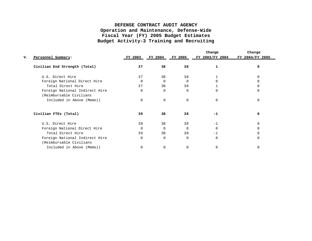|    |                                |              |          |          | Change                          | Change          |
|----|--------------------------------|--------------|----------|----------|---------------------------------|-----------------|
| v. | Personnel Summary:             | FY 2003      |          |          | FY 2004 FY 2005 FY 2003/FY 2004 | FY 2004/FY 2005 |
|    | Civilian End Strength (Total)  | 37           | 38       | 38       |                                 |                 |
|    | U.S. Direct Hire               | 37           | 38       | 38       |                                 |                 |
|    | Foreign National Direct Hire   | <sup>0</sup> | $\Omega$ | $\Omega$ |                                 |                 |
|    | Total Direct Hire              | 37           | 38       | 38       |                                 |                 |
|    | Foreign National Indirect Hire | $\Omega$     | $\cap$   | $\Omega$ | <sup>n</sup>                    |                 |
|    | (Reimbursable Civilians        |              |          |          |                                 |                 |
|    | Included in Above (Memo))      | $\Omega$     | $\Omega$ | $\Omega$ | $\Omega$                        |                 |
|    | Civilian FTES (Total)          | 39           | 38       | 38       | $-1$                            |                 |
|    | U.S. Direct Hire               | 39           | 38       | 38       | $-1$                            |                 |
|    | Foreign National Direct Hire   | $\Omega$     | $\Omega$ | $\Omega$ |                                 |                 |
|    | Total Direct Hire              | 39           | 38       | 38       | $-1$                            |                 |
|    | Foreign National Indirect Hire | $\Omega$     | $\Omega$ | $\Omega$ | $\Omega$                        |                 |
|    | (Reimbursable Civilians        |              |          |          |                                 |                 |
|    | Included in Above (Memo))      | 0            | $\Omega$ | $\Omega$ | O                               |                 |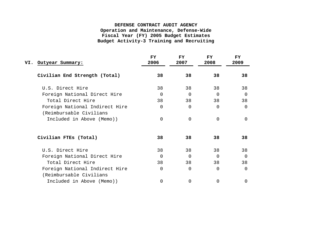| VI. Outyear Summary:                                      | FY.<br>2006    | <b>FY</b><br>2007 | <b>FY</b><br>2008 | FY.<br>2009 |
|-----------------------------------------------------------|----------------|-------------------|-------------------|-------------|
| Civilian End Strength (Total)                             | 38             | 38                | 38                | 38          |
| U.S. Direct Hire                                          | 38             | 38                | 38                | 38          |
| Foreign National Direct Hire                              | $\Omega$       | 0                 | $\Omega$          | $\Omega$    |
| Total Direct Hire                                         | 38             | 38                | 38                | 38          |
| Foreign National Indirect Hire<br>(Reimbursable Civilians | $\mathbf 0$    | 0                 | $\Omega$          | 0           |
| Included in Above (Memo))                                 | $\Omega$       | $\Omega$          | $\Omega$          | $\Omega$    |
| Civilian FTES (Total)                                     | 38             | 38                | 38                | 38          |
| U.S. Direct Hire                                          | 38             | 38                | 38                | 38          |
| Foreign National Direct Hire                              | $\Omega$       | $\Omega$          | $\Omega$          | $\Omega$    |
| Total Direct Hire                                         | 38             | 38                | 38                | 38          |
| Foreign National Indirect Hire<br>(Reimbursable Civilians | $\overline{0}$ | 0                 | $\Omega$          | $\Omega$    |
| Included in Above (Memo))                                 | 0              | 0                 | 0                 | $\Omega$    |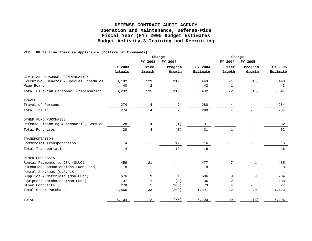#### **VII. OP 32 Line Items as Applicable (Dollars in Thousands):**

|                                        |              | Change            |              |              | Change            |                          |          |
|----------------------------------------|--------------|-------------------|--------------|--------------|-------------------|--------------------------|----------|
|                                        |              | FY 2003 - FY 2004 |              |              | FY 2004 - FY 2005 |                          |          |
|                                        | FY 2003      | Price             | Program      | FY 2004      | Price             | Program                  | FY 2005  |
|                                        | Actuals      | Growth            | Growth       | Estimate     | Growth            | Growth                   | Estimate |
| CIVILIAN PERSONNEL COMPENSATION        |              |                   |              |              |                   |                          |          |
| Executive, General & Special Schedules | 3,192        | 129               | 119          | 3,440        | 71                | (13)                     | 3,498    |
| Wage Board                             | 40           | 2                 | $\equiv$     | 42           | $\mathbf{1}$      | $\overline{\phantom{0}}$ | 43       |
| Total Civilian Personnel Compensation  | 3,232        | 131               | 119          | 3,482        | 72                | (13)                     | 3,541    |
| TRAVEL                                 |              |                   |              |              |                   |                          |          |
| Travel of Persons                      | 274          | 4                 | 2            | 280          | 4                 |                          | 284      |
| Total Travel                           | 274          | $\overline{4}$    | 2            | 280          | $\overline{4}$    |                          | 284      |
| OTHER FUND PURCHASES                   |              |                   |              |              |                   |                          |          |
| Defense Financing & Accounting Service | 28           | 4                 | (1)          | 31           | $\mathbf{1}$      |                          | 32       |
| Total Purchases                        | 28           | 4                 | (1)          | 31           | $\mathbf{1}$      |                          | 32       |
| TRANSPORTATION                         |              |                   |              |              |                   |                          |          |
| Commercial Transportation              | 4            |                   | 12           | 16           |                   |                          | 16       |
| Total Transportation                   | 4            |                   | 12           | 16           |                   |                          | 16       |
| OTHER PURCHASES                        |              |                   |              |              |                   |                          |          |
| Rental Payments to GSA (SLUC)          | 456          | 21                |              | 477          | 7                 | 1                        | 485      |
| Purchased Communications (Non-Fund)    | 18           |                   |              | 18           |                   |                          | 18       |
| Postal Services (U.S.P.S.)             | $\mathbf{1}$ |                   |              | $\mathbf{1}$ |                   |                          | 1        |
| Supplies & Materials (Non-Fund)        | 676          | 9                 | $\mathbf{1}$ | 686          | 9                 | 9                        | 704      |
| Equipment Purchases (Non-Fund)         | 137          | 2                 | (3)          | 136          | 2                 |                          | 138      |
| Other Contracts                        | 278          | 1                 | (206)        | 73           | 4                 |                          | 77       |
| Total Other Purchases                  | 1,566        | 33                | (208)        | 1,391        | 22                | 10                       | 1,423    |
| TOTAL                                  | 5,104        | 172               | (76)         | 5,200        | 99                | (3)                      | 5,296    |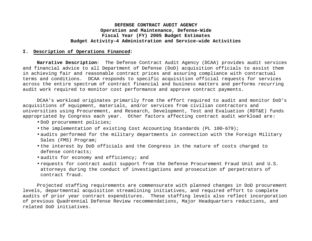#### **I. Description of Operations Financed:**

**Narrative Description**: The Defense Contract Audit Agency (DCAA) provides audit services and financial advice to all Department of Defense (DoD) acquisition officials to assist them in achieving fair and reasonable contract prices and assuring compliance with contractual terms and conditions. DCAA responds to specific acquisition official requests for services across the entire spectrum of contract financial and business matters and performs recurring audit work required to monitor cost performance and approve contract payments.

DCAA's workload originates primarily from the effort required to audit and monitor DoD's acquisitions of equipment, materials, and/or services from civilian contractors and universities using Procurement, and Research, Development, Test and Evaluation (RDT&E) funds appropriated by Congress each year. Other factors affecting contract audit workload are:

- DoD procurement policies;
- the implementation of existing Cost Accounting Standards (PL 100-679);
- audits performed for the military departments in connection with the Foreign Military Sales (FMS) Program;
- the interest by DoD officials and the Congress in the nature of costs charged to defense contracts;
- audits for economy and efficiency; and
- requests for contract audit support from the Defense Procurement Fraud Unit and U.S. attorneys during the conduct of investigations and prosecution of perpetrators of contract fraud.

Projected staffing requirements are commensurate with planned changes in DoD procurement levels, departmental acquisition streamlining initiatives, and required effort to complete audits of prior year contract expenditures. These staffing levels also reflect incorporation of previous Quadrennial Defense Review recommendations, Major Headquarters reductions, and related DoD initiatives.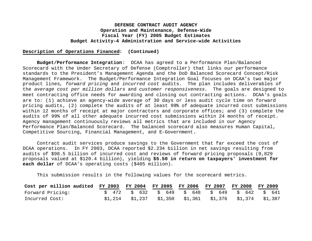#### **Description of Operations Financed: (Continued)**

**Budget/Performance Integration**: DCAA has agreed to a Performance Plan/Balanced Scorecard with the Under Secretary of Defense (Comptroller) that links our performance standards to the President's Management Agenda and the DoD Balanced Scorecard Concept/Risk Management Framework. The Budget/Performance Integration Goal focuses on DCAA's two major product lines, *forward pricing* and *incurred cost* audits. The plan includes deliverables of the *average cost per million dollars* and *customer responsiveness*. The goals are designed to meet contracting office needs for awarding and closing out contracting actions. DCAA's goals are to: (1) achieve an agency-wide average of 30 days or less audit cycle time on forward pricing audits, (2) complete the audits of at least 99% of adequate incurred cost submissions within 12 months of receipt at major contractors and corporate offices; and (3) complete the audits of 99% of all other adequate incurred cost submissions within 24 months of receipt. Agency management continuously reviews all metrics that are included in our Agency Performance Plan/Balanced Scorecard. The balanced scorecard also measures Human Capital, Competitive Sourcing, Financial Management, and E-Government**.**

Contract audit services produce savings to the Government that far exceed the cost of DCAA operations. In FY 2003, DCAA reported \$2.234 billion in net savings resulting from audits of \$98.5 billion of incurred cost and reviews of forward pricing proposals (9,829 proposals valued at \$120.4 billion), yielding **\$5.50 in return on taxpayers' investment for each dollar** of DCAA's operating costs (\$405 million).

This submission results in the following values for the scorecard metrics.

| Cost per million audited FY 2003 FY 2004 FY 2005 FY 2006 FY 2007 FY 2008 FY 2009 |                                                                                                                               |  |  |  |
|----------------------------------------------------------------------------------|-------------------------------------------------------------------------------------------------------------------------------|--|--|--|
| Forward Pricing:                                                                 | $\frac{1}{5}$ 472 $\frac{1}{5}$ 632 $\frac{1}{5}$ 649 $\frac{1}{5}$ 648 $\frac{1}{5}$ 649 $\frac{1}{5}$ 642 $\frac{1}{5}$ 641 |  |  |  |
| Incurred Cost:                                                                   | $$1,214$ $$1,237$ $$1,350$ $$1,361$ $$1,376$ $$1,374$ $$1,387$                                                                |  |  |  |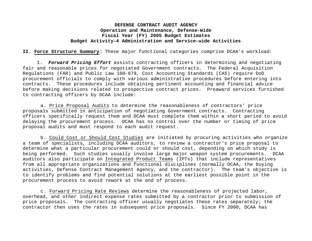**II. Force Structure Summary:** These major functional categories comprise DCAA's workload:

1. *Forward Pricing Effort* assists contracting officers in determining and negotiating fair and reasonable prices for negotiated Government contracts. The Federal Acquisition Regulations (FAR) and Public Law 100-679, Cost Accounting Standards (CAS) require DoD procurement officials to comply with various administrative procedures before entering into contracts. These procedures include obtaining pertinent accounting and financial advice before making decisions related to prospective contract prices. Preaward services furnished to contracting officers by DCAA include:

a. Price Proposal Audits to determine the reasonableness of contractors' price proposals submitted in anticipation of negotiating Government contracts. Contracting officers specifically request them and DCAA must complete them within a short period to avoid delaying the procurement process. DCAA has no control over the number or timing of price proposal audits and must respond to each audit request.

b. Could Cost or Should Cost Studies are initiated by procuring activities who organize a team of specialists, including DCAA auditors, to review a contractor's price proposal to determine what a particular procurement could or should cost, depending on which study is being performed. Such studies usually involve large major weapon system procurements. DCAA auditors also participate on Integrated Product Teams (IPTs) that include representatives from all appropriate organizations and functional disciplines (normally DCAA, the buying activities, Defense Contract Management Agency, and the contractor). The team's objective is to identify problems and find potential solutions at the earliest possible point in the procurement process to avoid rework at the end of process.

c. Forward Pricing Rate Reviews determine the reasonableness of projected labor, overhead, and other indirect expense rates submitted by a contractor prior to submission of price proposals. The contracting officer usually negotiates these rates separately; the contractor then uses the rates in subsequent price proposals. Since FY 2000, DCAA has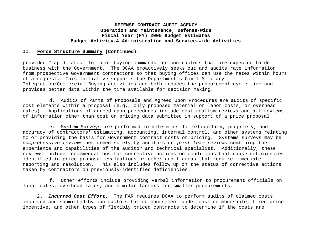#### **II. Force Structure Summary (Continued):**

provided "rapid rates" to major buying commands for contractors that are expected to do business with the Government. The DCAA proactively seeks out and audits rate information from prospective Government contractors so that buying offices can use the rates within hours of a request. This initiative supports the Department's Civil-Military Integration/Commercial Buying activities and both reduces the procurement cycle time and provides better data within the time available for decision making.

d. Audits of Parts of Proposals and Agreed Upon Procedures are audits of specific cost elements within a proposal (e.g., only proposed material or labor costs, or overhead rates). Applications of agreed-upon procedures include cost realism reviews and all reviews of information other than cost or pricing data submitted in support of a price proposal.

e. System Surveys are performed to determine the reliability, propriety, and accuracy of contractors' estimating, accounting, internal control, and other systems relating to or providing the basis for Government contract costs or pricing. Systems surveys may be *comprehensive reviews* performed solely by auditors or *joint team reviews* combining the experience and capabilities of the auditor and technical specialist. Additionally, these reviews include recommendations for corrective actions on conditions that cause deficiencies identified in price proposal evaluations or other audit areas that require immediate reporting and resolution. This also includes follow up on the status of corrective actions taken by contractors on previously-identified deficiencies.

f. Other efforts include providing verbal information to procurement officials on labor rates, overhead rates, and similar factors for smaller procurements.

2. *Incurred Cost Effort*. The FAR requires DCAA to perform audits of claimed costs incurred and submitted by contractors for reimbursement under cost reimbursable, fixed price incentive, and other types of flexibly priced contracts to determine if the costs are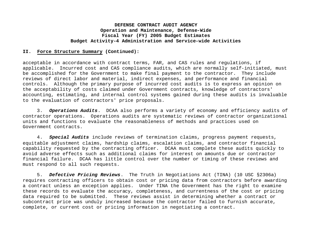#### **II. Force Structure Summary (Continued):**

acceptable in accordance with contract terms, FAR, and CAS rules and regulations, if applicable. Incurred cost and CAS compliance audits, which are normally self-initiated, must be accomplished for the Government to make final payment to the contractor. They include reviews of direct labor and material, indirect expenses, and performance and financial controls. Although the primary purpose of incurred cost audits is to express an opinion on the acceptability of costs claimed under Government contracts, knowledge of contractors' accounting, estimating, and internal control systems gained during these audits is invaluable to the evaluation of contractors' price proposals.

3. *Operations Audits*. DCAA also performs a variety of economy and efficiency audits of contractor operations. Operations audits are systematic reviews of contractor organizational units and functions to evaluate the reasonableness of methods and practices used on Government contracts.

4. *Special Audits* include reviews of termination claims, progress payment requests, equitable adjustment claims, hardship claims, escalation claims, and contractor financial capability requested by the contracting officer. DCAA must complete these audits quickly to avoid adverse effects such as additional claims for interest on amounts due or contractor financial failure. DCAA has little control over the number or timing of these reviews and must respond to all such requests.

5. *Defective Pricing Reviews*. The Truth in Negotiations Act (TINA) (10 USC §2306a) requires contracting officers to obtain cost or pricing data from contractors before awarding a contract unless an exception applies. Under TINA the Government has the right to examine these records to evaluate the accuracy, completeness, and currentness of the cost or pricing data required to be submitted. These reviews assist in determining whether a contract or subcontract price was unduly increased because the contractor failed to furnish accurate, complete, or current cost or pricing information in negotiating a contract.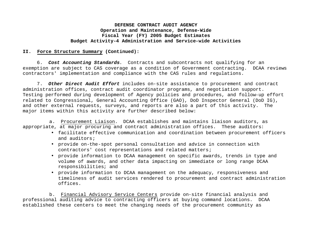#### **II. Force Structure Summary (Continued):**

6. *Cost Accounting Standards*. Contracts and subcontracts not qualifying for an exemption are subject to CAS coverage as a condition of Government contracting. DCAA reviews contractors' implementation and compliance with the CAS rules and regulations.

7. *Other Direct Audit Effort* includes on-site assistance to procurement and contract administration offices, contract audit coordinator programs, and negotiation support. Testing performed during development of Agency policies and procedures, and follow-up effort related to Congressional, General Accounting Office (GAO), DoD Inspector General (DoD IG), and other external requests, surveys, and reports are also a part of this activity. The major items within this activity are further described below:

a. Procurement Liaison. DCAA establishes and maintains liaison auditors, as appropriate, at major procuring and contract administration offices. These auditors:

- facilitate effective communication and coordination between procurement officers and auditors;
- provide on-the-spot personal consultation and advice in connection with contractors' cost representations and related matters;
- provide information to DCAA management on specific awards, trends in type and volume of awards, and other data impacting on immediate or long range DCAA responsibilities; and
- provide information to DCAA management on the adequacy, responsiveness and timeliness of audit services rendered to procurement and contract administration offices.

b. Financial Advisory Service Centers provide on-site financial analysis and professional auditing advice to contracting officers at buying command locations. DCAA established these centers to meet the changing needs of the procurement community as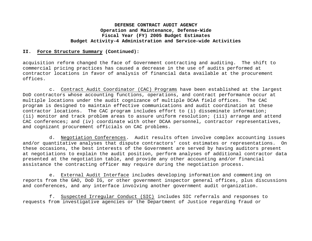#### **II. Force Structure Summary (Continued):**

acquisition reform changed the face of Government contracting and auditing. The shift to commercial pricing practices has caused a decrease in the use of audits performed at contractor locations in favor of analysis of financial data available at the procurement offices.

c. Contract Audit Coordinator (CAC) Programs have been established at the largest DoD contractors whose accounting functions, operations, and contract performance occur at multiple locations under the audit cognizance of multiple DCAA field offices. The CAC program is designed to maintain effective communications and audit coordination at these contractor locations. The CAC program includes effort to (i) disseminate information; (ii) monitor and track problem areas to assure uniform resolution; (iii) arrange and attend CAC conferences; and (iv) coordinate with other DCAA personnel, contractor representatives, and cognizant procurement officials on CAC problems.

d. Negotiation Conferences. Audit results often involve complex accounting issues and/or quantitative analyses that dispute contractors' cost estimates or representations. On these occasions, the best interests of the Government are served by having auditors present at negotiations to explain the audit position, perform analyses of additional contractor data presented at the negotiation table, and provide any other accounting and/or financial assistance the contracting officer may require during the negotiation process.

e. External Audit Interface includes developing information and commenting on reports from the GAO, DoD IG, or other government inspector general offices, plus discussions and conferences, and any interface involving another government audit organization.

f. Suspected Irregular Conduct (SIC) includes SIC referrals and responses to requests from investigative agencies or the Department of Justice regarding fraud or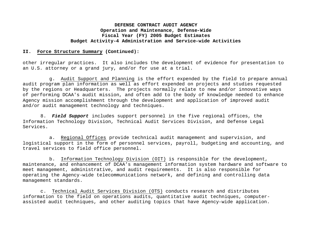#### **II. Force Structure Summary (Continued):**

other irregular practices. It also includes the development of evidence for presentation to an U.S. attorney or a grand jury, and/or for use at a trial.

g. Audit Support and Planning is the effort expended by the field to prepare annual audit program plan information as well as effort expended on projects and studies requested by the regions or Headquarters. The projects normally relate to new and/or innovative ways of performing DCAA's audit mission, and often add to the body of knowledge needed to enhance Agency mission accomplishment through the development and application of improved audit and/or audit management technology and techniques.

8. *Field Support* includes support personnel in the five regional offices, the Information Technology Division, Technical Audit Services Division, and Defense Legal Services.

a. Regional Offices provide technical audit management and supervision, and logistical support in the form of personnel services, payroll, budgeting and accounting, and travel services to field office personnel.

b. Information Technology Division (OIT) is responsible for the development, maintenance, and enhancement of DCAA's management information system hardware and software to meet management, administrative, and audit requirements. It is also responsible for operating the Agency-wide telecommunications network, and defining and controlling data management standards.

c. Technical Audit Services Division (OTS) conducts research and distributes information to the field on operations audits, quantitative audit techniques, computerassisted audit techniques, and other auditing topics that have Agency-wide application.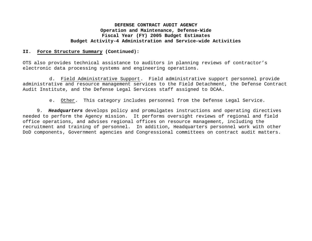#### **II. Force Structure Summary (Continued):**

OTS also provides technical assistance to auditors in planning reviews of contractor's electronic data processing systems and engineering operations.

d. Field Administrative Support. Field administrative support personnel provide administrative and resource management services to the Field Detachment, the Defense Contract Audit Institute, and the Defense Legal Services staff assigned to DCAA.

e. Other. This category includes personnel from the Defense Legal Service.

9. *Headquarters* develops policy and promulgates instructions and operating directives needed to perform the Agency mission. It performs oversight reviews of regional and field office operations, and advises regional offices on resource management, including the recruitment and training of personnel. In addition, Headquarters personnel work with other DoD components, Government agencies and Congressional committees on contract audit matters.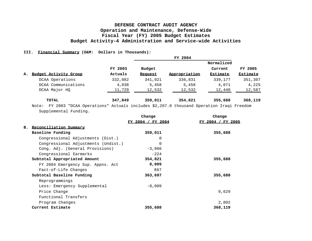#### **III. Financial Summary (O&M: Dollars in Thousands):**

|    |                                                                                                |         |         | FY 2004       |                 |                 |  |  |
|----|------------------------------------------------------------------------------------------------|---------|---------|---------------|-----------------|-----------------|--|--|
|    |                                                                                                |         |         |               | Normalized      |                 |  |  |
|    |                                                                                                | FY 2003 | Budget  |               | Current         | FY 2005         |  |  |
| А. | <b>Budget Activity Group</b>                                                                   | Actuals | Request | Appropriation | <b>Estimate</b> | <b>Estimate</b> |  |  |
|    | DCAA Operations                                                                                | 332,082 | 341,021 | 336,831       | 339,177         | 351,307         |  |  |
|    | DCAA Communications                                                                            | 4,038   | 5,458   | 5,458         | 4,071           | 4,225           |  |  |
|    | DCAA Major HQ                                                                                  | 11,729  | 12,532  | 12,532        | 12,440          | 12,587          |  |  |
|    | <b>TOTAL</b>                                                                                   | 347,849 | 359,011 | 354,821       | 355,688         | 368,119         |  |  |
|    | FY 2003 "DCAA Operations" Actuals includes \$2,207.0 thousand Operation Iraqi Freedom<br>Note: |         |         |               |                 |                 |  |  |

Supplemental Funding.

|                                     | Change                   | Change            |  |
|-------------------------------------|--------------------------|-------------------|--|
|                                     | <u>FY 2004 / FY 2004</u> | FY 2004 / FY 2005 |  |
| Reconciliation Summary<br>в.        |                          |                   |  |
| Baseline Funding                    | 359,011                  | 355,688           |  |
| Congressional Adjustments (Dist.)   | $\Omega$                 |                   |  |
| Congressional Adjustments (Undist.) | $\Omega$                 |                   |  |
| Cong. Adj. (General Provisions)     | $-3,966$                 |                   |  |
| Congressional Earmarks              | $-224$                   |                   |  |
| Subtotal Appropriated Amount        | 354,821                  | 355,688           |  |
| FY 2004 Emergency Sup. Appns. Act   | 8,009                    |                   |  |
| Fact-of-Life Changes                | 867                      |                   |  |
| Subtotal Baseline Funding           | 363,697                  | 355,688           |  |
| Reprogrammings                      |                          |                   |  |
| Less: Emergency Supplemental        | $-8,009$                 |                   |  |
| Price Change                        |                          | 9,629             |  |
| Functional Transfers                |                          |                   |  |
| Program Changes                     |                          | 2,802             |  |
| Current Estimate                    | 355,688                  | 368,119           |  |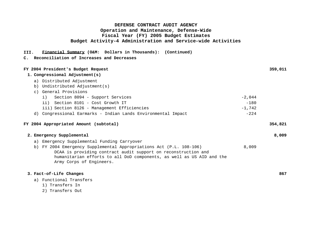#### **III. Financial Summary (O&M: Dollars in Thousands): (Continued)**

#### **C. Reconciliation of Increases and Decreases**

| FY 2004 President's Budget Request                                    |          | 359,011 |
|-----------------------------------------------------------------------|----------|---------|
| 1. Congressional Adjustment(s)                                        |          |         |
| a) Distributed Adjustment                                             |          |         |
| b) Undistributed Adjustment(s)                                        |          |         |
| c) General Provisions                                                 |          |         |
| Section 8094 - Support Services<br>i)                                 | $-2,044$ |         |
| ii) Section 8101 - Cost Growth IT                                     | $-180$   |         |
| iii) Section 8126 - Management Efficiencies                           | $-1,742$ |         |
| d) Congressional Earmarks - Indian Lands Environmental Impact         | $-224$   |         |
|                                                                       |          |         |
| FY 2004 Appropriated Amount (subtotal)                                |          | 354,821 |
| 2. Emergency Supplemental                                             |          | 8,009   |
| a) Emergency Supplemental Funding Carryover                           |          |         |
| b) FY 2004 Emergency Supplemental Appropriations Act (P.L. 108-106)   | 8,009    |         |
| DCAA is providing contract audit support on reconstruction and        |          |         |
| humanitarian efforts to all DoD components, as well as US AID and the |          |         |
| Army Corps of Engineers.                                              |          |         |
|                                                                       |          |         |
| 3. Fact-of-Life Changes                                               |          | 867     |

- a) Functional Transfers
	- 1) Transfers In
	- 2) Transfers Out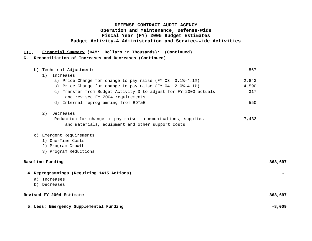#### **III. Financial Summary (O&M: Dollars in Thousands): (Continued)**

#### **C. Reconciliation of Increases and Decreases (Continued)**

| b) Technical Adjustments                                                                             | 867      |          |
|------------------------------------------------------------------------------------------------------|----------|----------|
| Increases<br>1)                                                                                      |          |          |
| a) Price Change for change to pay raise $(FY 03: 3.18-4.18)$                                         | 2,843    |          |
| b) Price Change for change to pay raise (FY 04: 2.0%-4.1%)                                           | 4,590    |          |
| c) Transfer from Budget Activity 3 to adjust for FY 2003 actuals<br>and revised FY 2004 requirements | 317      |          |
| d) Internal reprogramming from RDT&E                                                                 | 550      |          |
| 2)<br>Decreases                                                                                      |          |          |
| Reduction for change in pay raise - communications, supplies                                         | $-7,433$ |          |
| and materials, equipment and other support costs                                                     |          |          |
| c) Emergent Requirements                                                                             |          |          |
| 1) One-Time Costs                                                                                    |          |          |
| 2) Program Growth                                                                                    |          |          |
| 3) Program Reductions                                                                                |          |          |
| <b>Baseline Funding</b>                                                                              |          | 363,697  |
| 4. Reprogrammings (Requiring 1415 Actions)                                                           |          |          |
| a) Increases                                                                                         |          |          |
| b) Decreases                                                                                         |          |          |
| Revised FY 2004 Estimate                                                                             |          | 363,697  |
| 5. Less: Emergency Supplemental Funding                                                              |          | $-8,009$ |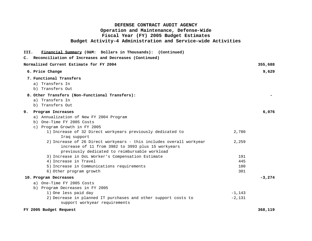| III. | Financial Summary (O&M: Dollars in Thousands): (Continued)                                      |            |           |
|------|-------------------------------------------------------------------------------------------------|------------|-----------|
| c.   | Reconciliation of Increases and Decreases (Continued)                                           |            |           |
|      | Normalized Current Estimate for FY 2004                                                         |            | 355,688   |
|      | 6. Price Change                                                                                 |            | 9,629     |
|      | 7. Functional Transfers                                                                         |            |           |
|      | a) Transfers In                                                                                 |            |           |
|      | b) Transfers Out                                                                                |            |           |
|      | 8. Other Transfers (Non-Functional Transfers):                                                  |            |           |
|      | a) Transfers In                                                                                 |            |           |
|      | b) Transfers Out                                                                                |            |           |
| 9.   | Program Increases                                                                               |            | 6,076     |
|      | a) Annualization of New FY 2004 Program                                                         |            |           |
|      | b) One-Time FY 2005 Costs                                                                       |            |           |
|      | c) Program Growth in FY 2005                                                                    |            |           |
|      | 1) Increase of 32 Direct workyears previously dedicated to                                      | 2,780      |           |
|      | Iraq support                                                                                    |            |           |
|      | 2) Increase of 26 Direct workyears - this includes overall workyear                             | 2,259      |           |
|      | increase of 11 from 3982 to 3993 plus 15 workyears                                              |            |           |
|      | previously dedicated to reimbursable workload                                                   |            |           |
|      | 3) Increase in DoL Worker's Compensation Estimate                                               | 191        |           |
|      | 4) Increase in Travel                                                                           | 445        |           |
|      | 5) Increase in Communications requirements                                                      | 100<br>301 |           |
|      | 6) Other program growth                                                                         |            |           |
|      | 10. Program Decreases                                                                           |            | $-3, 274$ |
|      | a) One-Time FY 2005 Costs                                                                       |            |           |
|      | b) Program Decreases in FY 2005                                                                 |            |           |
|      | 1) One less paid day                                                                            | $-1,143$   |           |
|      | 2) Decrease in planned IT purchases and other support costs to<br>support workyear requirements | $-2,131$   |           |
|      |                                                                                                 |            |           |
|      | FY 2005 Budget Request                                                                          |            | 368,119   |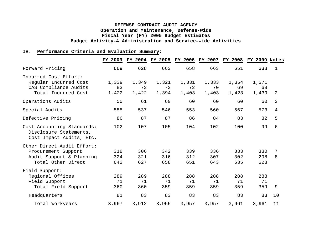#### **IV. Performance Criteria and Evaluation Summary:**

|                                                                                                     | FY 2003              |                      | FY 2004 FY 2005      |                      |                      | FY 2006 FY 2007 FY 2008 | FY 2009 Notes        |        |
|-----------------------------------------------------------------------------------------------------|----------------------|----------------------|----------------------|----------------------|----------------------|-------------------------|----------------------|--------|
| Forward Pricing                                                                                     | 669                  | 628                  | 663                  | 658                  | 663                  | 651                     | 638                  | 1      |
| Incurred Cost Effort:<br>Reqular Incurred Cost<br>CAS Compliance Audits<br>Total Incurred Cost      | 1,339<br>83<br>1,422 | 1,349<br>73<br>1,422 | 1,321<br>73<br>1,394 | 1,331<br>72<br>1,403 | 1,333<br>70<br>1,403 | 1,354<br>69<br>1,423    | 1,371<br>68<br>1,439 | 2      |
| Operations Audits                                                                                   | 50                   | 61                   | 60                   | 60                   | 60                   | 60                      | 60                   | 3      |
| Special Audits                                                                                      | 555                  | 537                  | 546                  | 553                  | 560                  | 567                     | 573                  | 4      |
| Defective Pricing                                                                                   | 86                   | 87                   | 87                   | 86                   | 84                   | 83                      | 82                   | 5      |
| Cost Accounting Standards:<br>Disclosure Statements,<br>Cost Impact Audits, Etc.                    | 102                  | 107                  | 105                  | 104                  | 102                  | 100                     | 99                   | 6      |
| Other Direct Audit Effort:<br>Procurement Support<br>Audit Support & Planning<br>Total Other Direct | 318<br>324<br>642    | 306<br>321<br>627    | 342<br>316<br>658    | 339<br>312<br>651    | 336<br>307<br>643    | 333<br>302<br>635       | 330<br>298<br>628    | 7<br>8 |
| Field Support:<br>Regional Offices<br>Field Support<br>Total Field Support                          | 289<br>71<br>360     | 289<br>71<br>360     | 288<br>71<br>359     | 288<br>71<br>359     | 288<br>71<br>359     | 288<br>71<br>359        | 288<br>71<br>359     | 9      |
| Headquarters                                                                                        | 81                   | 83                   | 83                   | 83                   | 83                   | 83                      | 83                   | 10     |
| Total Workyears                                                                                     | 3,967                | 3,912                | 3,955                | 3,957                | 3,957                | 3,961                   | 3,961                | 11     |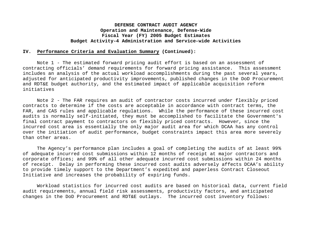#### **IV. Performance Criteria and Evaluation Summary (Continued):**

Note 1 - The estimated forward pricing audit effort is based on an assessment of contracting officials' demand requirements for forward pricing assistance. This assessment includes an analysis of the actual workload accomplishments during the past several years, adjusted for anticipated productivity improvements, published changes in the DoD Procurement and RDT&E budget authority, and the estimated impact of applicable acquisition reform initiatives

Note 2 - The FAR requires an audit of contractor costs incurred under flexibly priced contracts to determine if the costs are acceptable in accordance with contract terms, the FAR, and CAS rules and applicable regulations. While the performance of these incurred cost audits is normally self-initiated, they must be accomplished to facilitate the Government's final contract payment to contractors on flexibly priced contracts. However, since the incurred cost area is essentially the only major audit area for which DCAA has any control over the initiation of audit performance, budget constraints impact this area more severely than other areas.

The Agency's performance plan includes a goal of completing the audits of at least 99% of adequate incurred cost submissions within 12 months of receipt at major contractors and corporate offices; and 99% of all other adequate incurred cost submissions within 24 months of receipt. Delay in performing these incurred cost audits adversely affects DCAA's ability to provide timely support to the Department's expedited and paperless Contract Closeout Initiative and increases the probability of expiring funds.

Workload statistics for incurred cost audits are based on historical data, current field audit requirements, annual field risk assessments, productivity factors, and anticipated changes in the DoD Procurement and RDT&E outlays. The incurred cost inventory follows: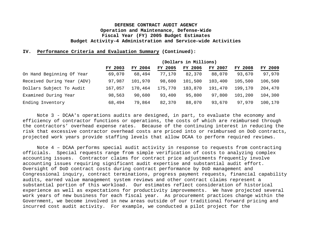#### **IV. Performance Criteria and Evaluation Summary (Continued):**

|                            | (Dollars in Millions) |         |         |         |         |                |         |  |
|----------------------------|-----------------------|---------|---------|---------|---------|----------------|---------|--|
|                            | FY 2003               | FY 2004 | FY 2005 | FY 2006 | FY 2007 | <b>FY 2008</b> | FY 2009 |  |
| On Hand Beginning Of Year  | 69,070                | 68,494  | 77,170  | 82,370  | 88,070  | 93,670         | 97,970  |  |
| Received During Year (ADV) | 97,987                | 101,970 | 98,600  | 101,500 | 103,400 | 105,500        | 106,500 |  |
| Dollars Subject To Audit   | 167,057               | 170,464 | 175,770 | 183,870 | 191,470 | 199,170        | 204,470 |  |
| Examined During Year       | 98,563                | 90,600  | 93,400  | 95,800  | 97,800  | 101,200        | 104,300 |  |
| Ending Inventory           | 68,494                | 79,864  | 82,370  | 88,070  | 93,670  | 97,970         | 100,170 |  |

Note 3 - DCAA's operations audits are designed, in part, to evaluate the economy and efficiency of contractor functions or operations, the costs of which are reimbursed through the contractors' overhead expense rates. Because of the continuing interest in reducing the risk that excessive contractor overhead costs are priced into or reimbursed on DoD contracts, projected work years provide staffing levels that allow DCAA to perform required reviews.

Note 4 – DCAA performs special audit activity in response to requests from contracting officials. Special requests range from simple verification of costs to analyzing complex accounting issues. Contractor claims for contract price adjustments frequently involve accounting issues requiring significant audit expertise and substantial audit effort. Oversight of DoD contract costs during contract performance by DoD management and Congressional inquiry, contract terminations, progress payment requests, financial capability audits, earned value management system reviews and other contract claims represent a substantial portion of this workload. Our estimates reflect consideration of historical experience as well as expectations for productivity improvements. We have projected several work years of new business for each fiscal year. As procurement practices change within the Government, we become involved in new areas outside of our traditional forward pricing and incurred cost audit activity. For example, we conducted a pilot project for the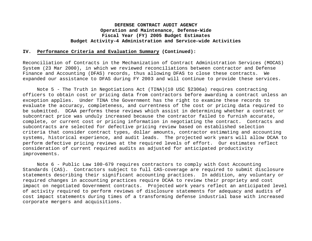#### **IV. Performance Criteria and Evaluation Summary (Continued):**

Reconciliation of Contracts in the Mechanization of Contract Administration Services (MOCAS) System (23 Mar 2000), in which we reviewed reconciliations between contractor and Defense Finance and Accounting (DFAS) records, thus allowing DFAS to close these contracts. We expanded our assistance to DFAS during FY 2003 and will continue to provide these services.

Note 5 - The Truth in Negotiations Act (TINA)(10 USC §2306a) requires contracting officers to obtain cost or pricing data from contractors before awarding a contract unless an exception applies. Under TINA the Government has the right to examine these records to evaluate the accuracy, completeness, and currentness of the cost or pricing data required to be submitted. DCAA performs these reviews which assist in determining whether a contract or subcontract price was unduly increased because the contractor failed to furnish accurate, complete, or current cost or pricing information in negotiating the contract. Contracts and subcontracts are selected for defective pricing review based on established selection criteria that consider contract types, dollar amounts, contractor estimating and accounting systems, historical experience, and audit leads. The projected work years will allow DCAA to perform defective pricing reviews at the required levels of effort. Our estimates reflect consideration of current required audits as adjusted for anticipated productivity improvements.

Note 6 - Public Law 100-679 requires contractors to comply with Cost Accounting Standards (CAS). Contractors subject to full CAS-coverage are required to submit disclosure statements describing their significant accounting practices. In addition, any voluntary or required changes in accounting practices require DCAA to review their propriety and cost impact on negotiated Government contracts. Projected work years reflect an anticipated level of activity required to perform reviews of disclosure statements for adequacy and audits of cost impact statements during times of a transforming defense industrial base with increased corporate mergers and acquisitions.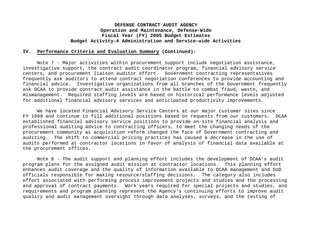#### **IV. Performance Criteria and Evaluation Summary (Continued):**

Note 7 - Major activities within procurement support include negotiation assistance, investigative support, the contract audit coordinator program, financial advisory service centers, and procurement liaison auditor effort. Government contracting representatives frequently ask auditors to attend contract negotiation conferences to provide accounting and financial advice. Investigative organizations from all branches of the Government frequently ask DCAA to provide contract audit assistance in the battle to combat fraud, waste, and mismanagement. Required staffing levels are based on historical performance levels adjusted for additional financial advisory services and anticipated productivity improvements.

We have located Financial Advisory Service Centers at our major customer sites since FY 1999 and continue to fill additional positions based on requests from our customers. DCAA established financial advisory service positions to provide on-site financial analysis and professional auditing advice to contracting officers, to meet the changing needs of the procurement community as acquisition reform changed the face of Government contracting and auditing. The shift to commercial pricing practices has caused a decrease in the use of audits performed at contractor locations in favor of analysis of financial data available at the procurement offices.

Note 8 - The audit support and planning effort includes the development of DCAA's audit program plans for the assigned audit mission at contractor locations. This planning effort enhances audit coverage and the quality of information available to DCAA management and DoD officials responsible for making resource/staffing decisions. The category also includes effort associated with performing process improvement projects and studies and the processing and approval of contract payments. Work years required for special projects and studies, and requirements and program planning represent the Agency's continuing efforts to improve audit quality and audit management oversight through data analyses, surveys, and the testing of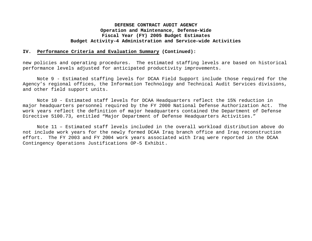#### **IV. Performance Criteria and Evaluation Summary (Continued):**

new policies and operating procedures. The estimated staffing levels are based on historical performance levels adjusted for anticipated productivity improvements.

Note 9 - Estimated staffing levels for DCAA Field Support include those required for the Agency's regional offices, the Information Technology and Technical Audit Services divisions, and other field support units.

Note 10 - Estimated staff levels for DCAA Headquarters reflect the 15% reduction in major headquarters personnel required by the FY 2000 National Defense Authorization Act. The work years reflect the definition of major headquarters contained the Department of Defense Directive 5100.73, entitled "Major Department of Defense Headquarters Activities."

Note 11 – Estimated staff levels included in the overall workload distribution above do not include work years for the newly formed DCAA Iraq branch office and Iraq reconstruction effort. The FY 2003 and FY 2004 work years associated with Iraq were reported in the DCAA Contingency Operations Justifications OP-5 Exhibit.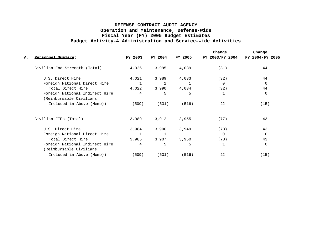|    |                                                           |         |              |              | Change          | Change          |
|----|-----------------------------------------------------------|---------|--------------|--------------|-----------------|-----------------|
| v. | Personnel Summary:                                        | FY 2003 | FY 2004      | FY 2005      | FY 2003/FY 2004 | FY 2004/FY 2005 |
|    | Civilian End Strength (Total)                             | 4,026   | 3,995        | 4,039        | (31)            | 44              |
|    | U.S. Direct Hire                                          | 4,021   | 3,989        | 4,033        | (32)            | 44              |
|    | Foreign National Direct Hire                              |         | $\mathbf{1}$ | $\mathbf{1}$ | $\Omega$        | $\Omega$        |
|    | Total Direct Hire                                         | 4,022   | 3,990        | 4,034        | (32)            | 44              |
|    | Foreign National Indirect Hire<br>(Reimbursable Civilians | 4       | 5            | 5            | $\mathbf{1}$    | $\Omega$        |
|    | Included in Above (Memo))                                 | (509)   | (531)        | (516)        | 22              | (15)            |
|    | Civilian FTEs (Total)                                     | 3,989   | 3,912        | 3,955        | (77)            | 43              |
|    | U.S. Direct Hire                                          | 3,984   | 3,906        | 3,949        | (78)            | 43              |
|    | Foreign National Direct Hire                              |         |              | 1            | $\Omega$        | $\Omega$        |
|    | Total Direct Hire                                         | 3,985   | 3,907        | 3,950        | (78)            | 43              |
|    | Foreign National Indirect Hire<br>(Reimbursable Civilians | 4       | 5            | 5            | $\mathbf 1$     | $\Omega$        |
|    | Included in Above (Memo))                                 | (509)   | (531)        | (516)        | 22              | (15)            |
|    |                                                           |         |              |              |                 |                 |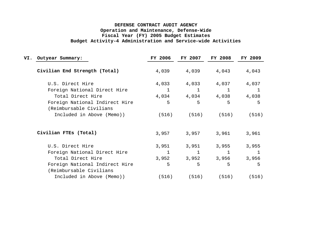| Outyear Summary:                                          | FY 2006      | FY 2007 | <b>FY 2008</b>                   | FY 2009                                               |  |
|-----------------------------------------------------------|--------------|---------|----------------------------------|-------------------------------------------------------|--|
| Civilian End Strength (Total)                             |              |         | 4,043                            | 4,043                                                 |  |
| U.S. Direct Hire                                          | 4,033        | 4,033   | 4,037                            | 4,037                                                 |  |
| Foreign National Direct Hire                              | $\mathbf{1}$ | 1       | $\mathbf{1}$                     | $\mathbf{1}$                                          |  |
| Total Direct Hire                                         |              |         |                                  | 4,038                                                 |  |
| Foreign National Indirect Hire<br>(Reimbursable Civilians | 5            | 5       | 5                                | 5                                                     |  |
| Included in Above (Memo))                                 |              |         | (516)                            | (516)                                                 |  |
| Civilian FTES (Total)                                     |              | 3,957   | 3,961                            | 3,961                                                 |  |
| U.S. Direct Hire                                          | 3,951        | 3,951   | 3,955                            | 3,955                                                 |  |
| Foreign National Direct Hire                              |              | 1       |                                  |                                                       |  |
| Total Direct Hire                                         |              |         | 3,956                            | 3,956                                                 |  |
| Foreign National Indirect Hire                            | 5            | 5       | 5                                | 5                                                     |  |
| (Reimbursable Civilians                                   |              |         |                                  |                                                       |  |
| Included in Above (Memo))                                 | (516)        |         | (516)                            | (516)                                                 |  |
|                                                           |              |         | 4,039<br>(516)<br>3,957<br>3,952 | 4,039<br>4,034 4,034 4,038<br>(516)<br>3,952<br>(516) |  |